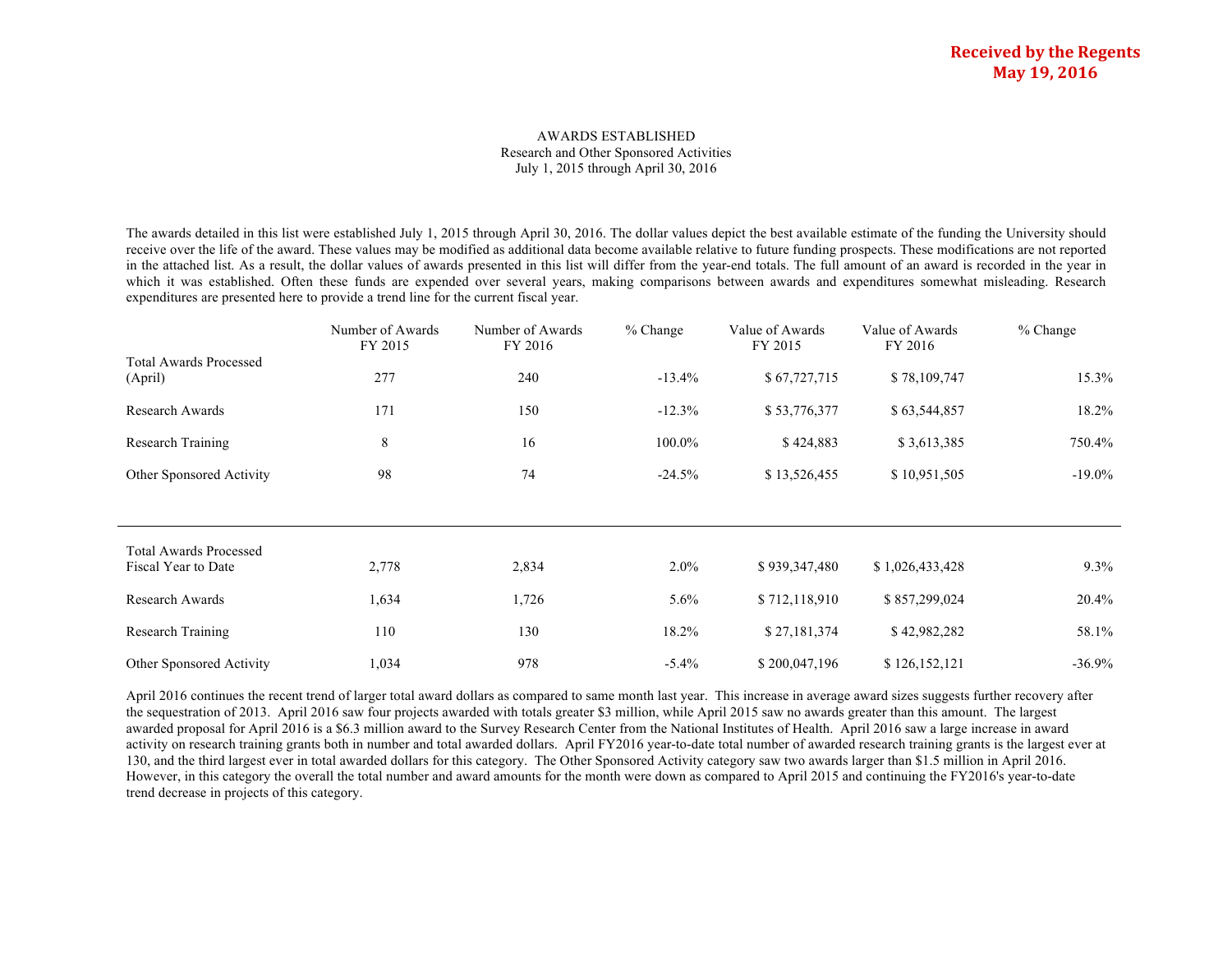#### AWARDS ESTABLISHED Research and Other Sponsored Activities July 1, 2015 through April 30, 2016

The awards detailed in this list were established July 1, 2015 through April 30, 2016. The dollar values depict the best available estimate of the funding the University should receive over the life of the award. These values may be modified as additional data become available relative to future funding prospects. These modifications are not reported in the attached list. As a result, the dollar values of awards presented in this list will differ from the year-end totals. The full amount of an award is recorded in the year in which it was established. Often these funds are expended over several years, making comparisons between awards and expenditures somewhat misleading. Research expenditures are presented here to provide a trend line for the current fiscal year.

|                                          | Number of Awards<br>FY 2015 | Number of Awards<br>FY 2016 | $%$ Change | Value of Awards<br>FY 2015 | Value of Awards<br>FY 2016 | $%$ Change |
|------------------------------------------|-----------------------------|-----------------------------|------------|----------------------------|----------------------------|------------|
| <b>Total Awards Processed</b><br>(April) | 277                         | 240                         | $-13.4\%$  | \$67,727,715               | \$78,109,747               | 15.3%      |
| Research Awards                          | 171                         | 150                         | $-12.3%$   | \$53,776,377               | \$63,544,857               | 18.2%      |
| Research Training                        | 8                           | 16                          | 100.0%     | \$424,883                  | \$3,613,385                | 750.4%     |
| Other Sponsored Activity                 | 98                          | 74                          | $-24.5%$   | \$13,526,455               | \$10,951,505               | $-19.0\%$  |
|                                          |                             |                             |            |                            |                            |            |
| <b>Total Awards Processed</b>            |                             |                             |            |                            |                            |            |
| Fiscal Year to Date                      | 2,778                       | 2,834                       | $2.0\%$    | \$939,347,480              | \$1,026,433,428            | $9.3\%$    |
| Research Awards                          | 1,634                       | 1,726                       | $5.6\%$    | \$712,118,910              | \$857,299,024              | 20.4%      |
| Research Training                        | 110                         | 130                         | 18.2%      | \$27,181,374               | \$42,982,282               | 58.1%      |
| Other Sponsored Activity                 | 1,034                       | 978                         | $-5.4%$    | \$200,047,196              | \$126,152,121              | $-36.9\%$  |

April 2016 continues the recent trend of larger total award dollars as compared to same month last year. This increase in average award sizes suggests further recovery after the sequestration of 2013. April 2016 saw four projects awarded with totals greater \$3 million, while April 2015 saw no awards greater than this amount. The largest awarded proposal for April 2016 is a \$6.3 million award to the Survey Research Center from the National Institutes of Health. April 2016 saw a large increase in award activity on research training grants both in number and total awarded dollars. April FY2016 year-to-date total number of awarded research training grants is the largest ever at 130, and the third largest ever in total awarded dollars for this category. The Other Sponsored Activity category saw two awards larger than \$1.5 million in April 2016. However, in this category the overall the total number and award amounts for the month were down as compared to April 2015 and continuing the FY2016's year-to-date trend decrease in projects of this category.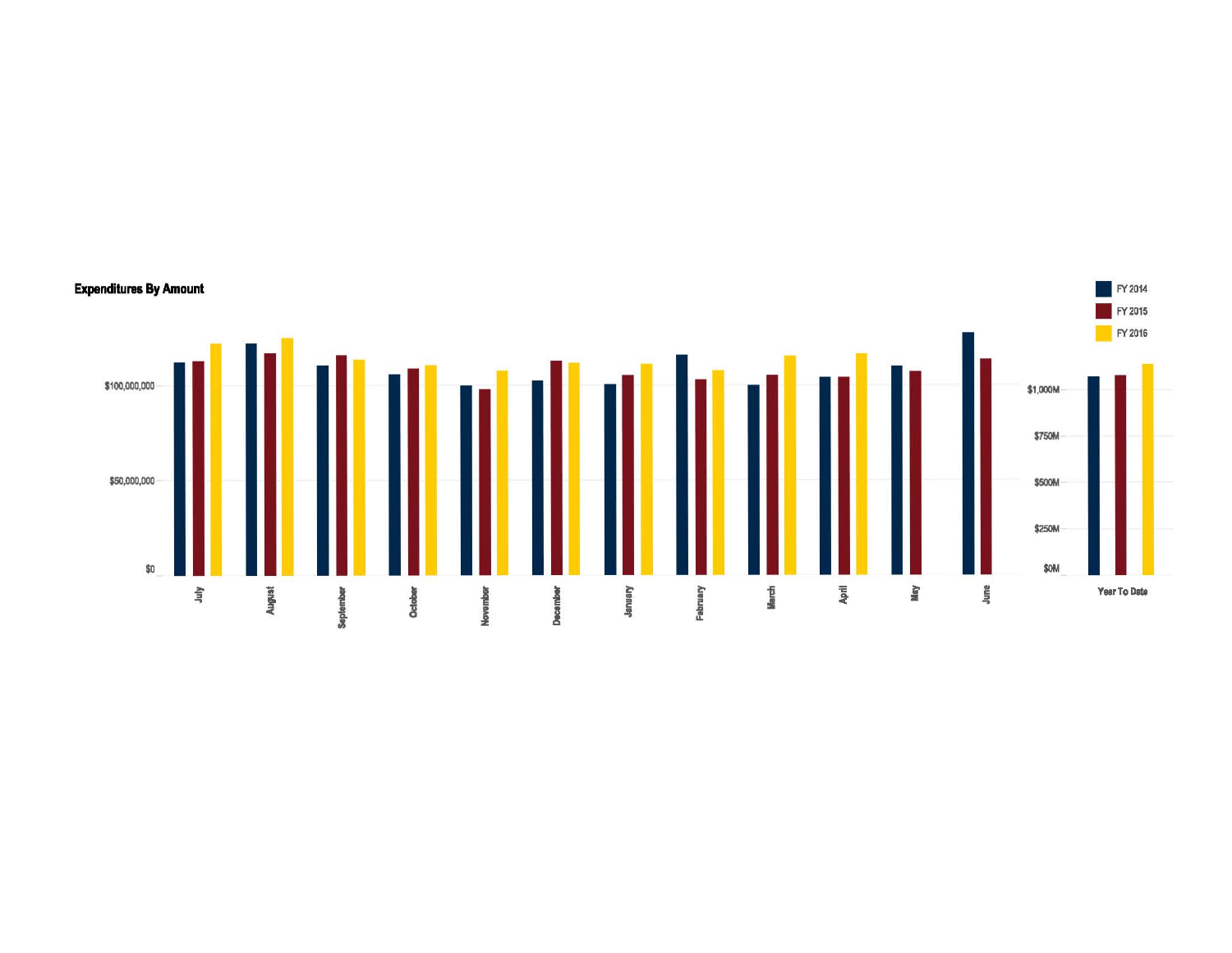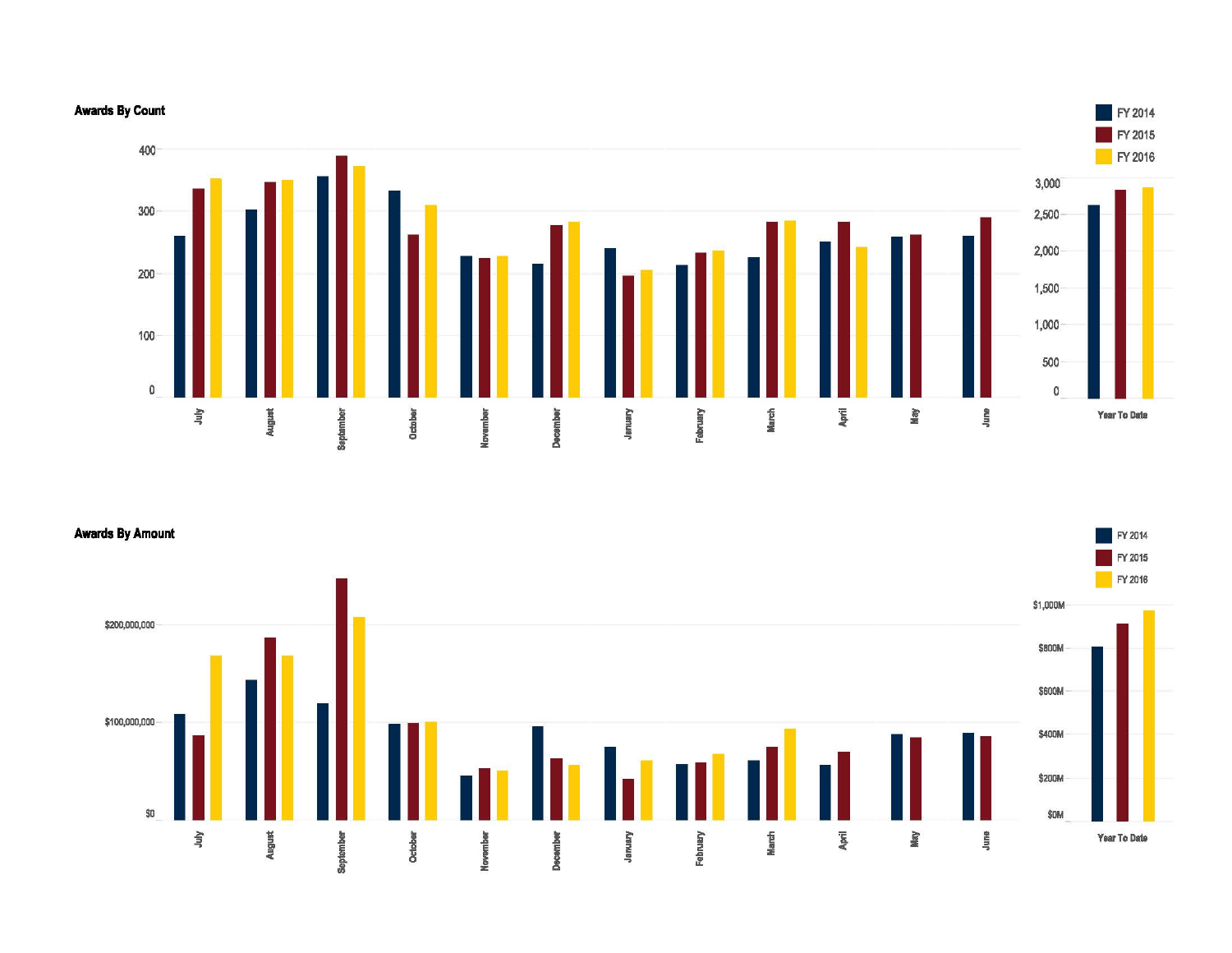

Awards By Amount  $\blacksquare$  FY 2014

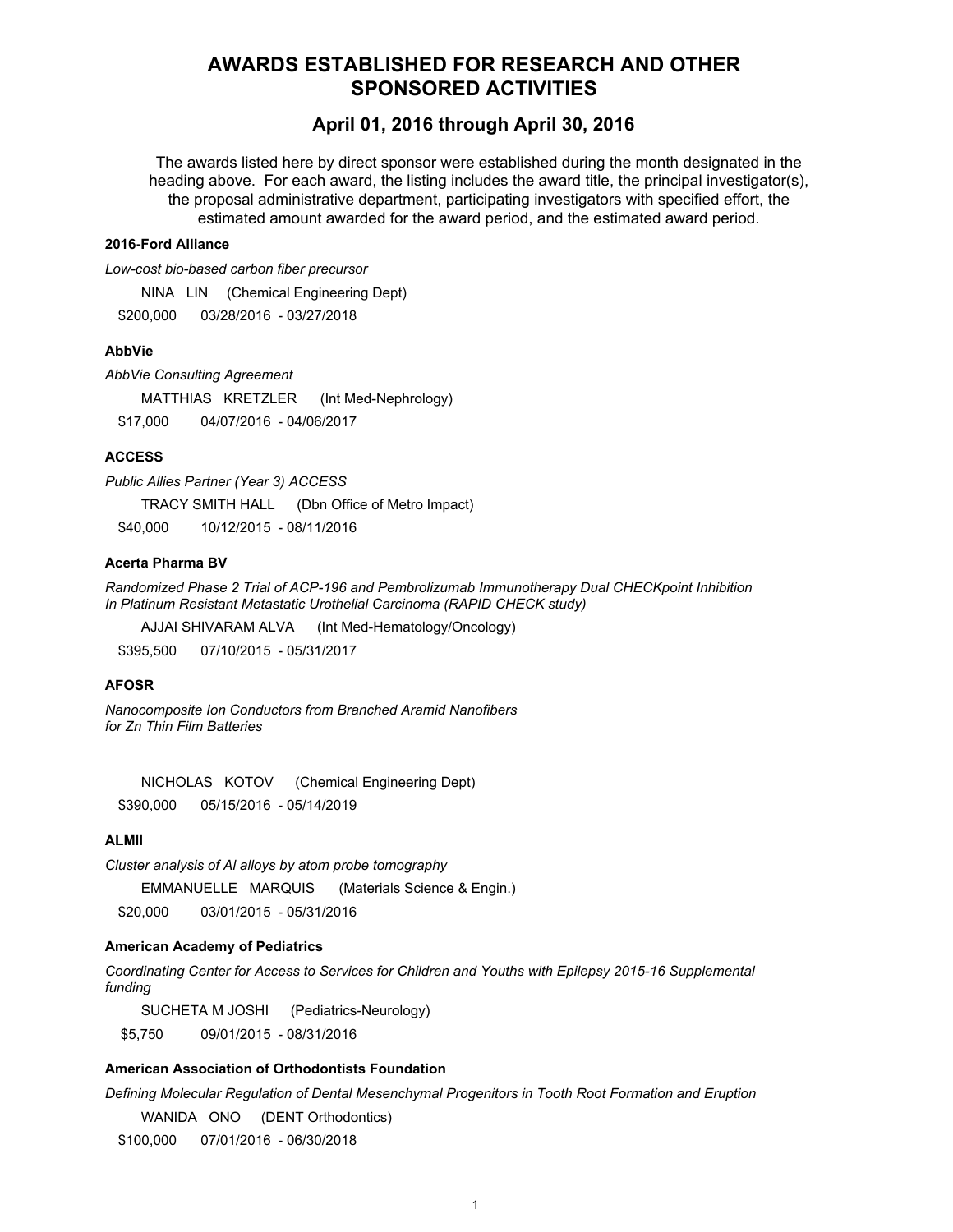# **AWARDS ESTABLISHED FOR RESEARCH AND OTHER SPONSORED ACTIVITIES**

# **April 01, 2016 through April 30, 2016**

The awards listed here by direct sponsor were established during the month designated in the heading above. For each award, the listing includes the award title, the principal investigator(s), the proposal administrative department, participating investigators with specified effort, the estimated amount awarded for the award period, and the estimated award period.

# **2016-Ford Alliance**

*Low-cost bio-based carbon fiber precursor*

NINA LIN (Chemical Engineering Dept)

\$200,000 03/28/2016 - 03/27/2018

# **AbbVie**

*AbbVie Consulting Agreement* 

MATTHIAS KRETZLER (Int Med-Nephrology) \$17,000 04/07/2016 - 04/06/2017

# **ACCESS**

*Public Allies Partner (Year 3) ACCESS*

TRACY SMITH HALL (Dbn Office of Metro Impact)

\$40,000 10/12/2015 - 08/11/2016

# **Acerta Pharma BV**

*Randomized Phase 2 Trial of ACP-196 and Pembrolizumab Immunotherapy Dual CHECKpoint Inhibition In Platinum Resistant Metastatic Urothelial Carcinoma (RAPID CHECK study)*

AJJAI SHIVARAM ALVA (Int Med-Hematology/Oncology)

\$395,500 07/10/2015 - 05/31/2017

# **AFOSR**

*Nanocomposite Ion Conductors from Branched Aramid Nanofibers for Zn Thin Film Batteries*

NICHOLAS KOTOV (Chemical Engineering Dept) \$390,000 05/15/2016 - 05/14/2019

# **ALMII**

*Cluster analysis of Al alloys by atom probe tomography*

EMMANUELLE MARQUIS (Materials Science & Engin.)

\$20,000 03/01/2015 - 05/31/2016

# **American Academy of Pediatrics**

*Coordinating Center for Access to Services for Children and Youths with Epilepsy 2015-16 Supplemental funding*

SUCHETA M JOSHI (Pediatrics-Neurology)

\$5,750 09/01/2015 - 08/31/2016

# **American Association of Orthodontists Foundation**

*Defining Molecular Regulation of Dental Mesenchymal Progenitors in Tooth Root Formation and Eruption*

WANIDA ONO (DENT Orthodontics)

\$100,000 07/01/2016 - 06/30/2018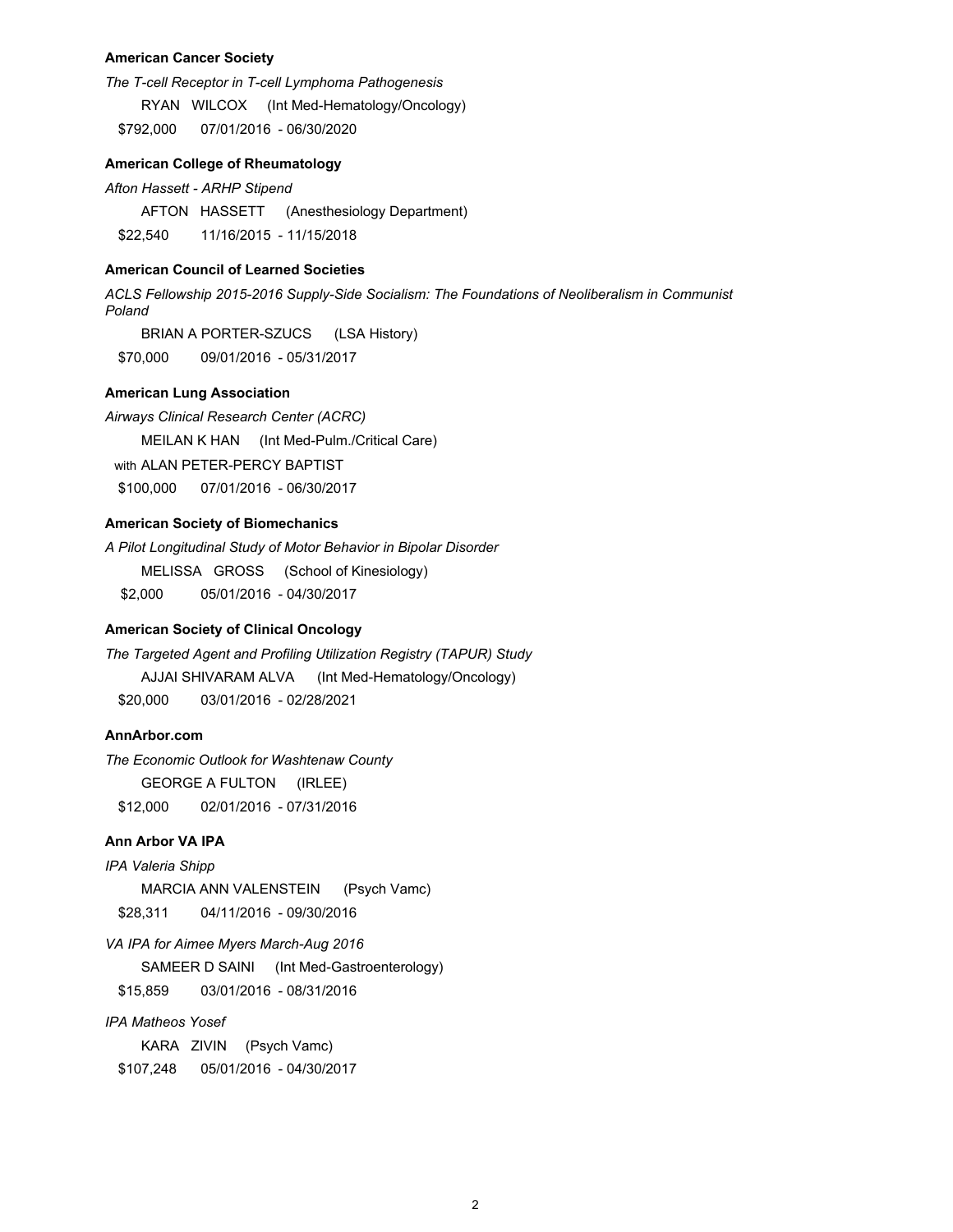## **American Cancer Society**

*The T-cell Receptor in T-cell Lymphoma Pathogenesis*

RYAN WILCOX (Int Med-Hematology/Oncology)

\$792,000 07/01/2016 - 06/30/2020

## **American College of Rheumatology**

*Afton Hassett - ARHP Stipend*

AFTON HASSETT (Anesthesiology Department)

\$22,540 11/16/2015 - 11/15/2018

# **American Council of Learned Societies**

*ACLS Fellowship 2015-2016 Supply-Side Socialism: The Foundations of Neoliberalism in Communist Poland*

BRIAN A PORTER-SZUCS (LSA History) \$70,000 09/01/2016 - 05/31/2017

## **American Lung Association**

*Airways Clinical Research Center (ACRC)*  MEILAN K HAN (Int Med-Pulm./Critical Care) with ALAN PETER-PERCY BAPTIST \$100,000 07/01/2016 - 06/30/2017

# **American Society of Biomechanics**

*A Pilot Longitudinal Study of Motor Behavior in Bipolar Disorder* MELISSA GROSS (School of Kinesiology) \$2,000 05/01/2016 - 04/30/2017

# **American Society of Clinical Oncology**

*The Targeted Agent and Profiling Utilization Registry (TAPUR) Study* AJJAI SHIVARAM ALVA (Int Med-Hematology/Oncology) \$20,000 03/01/2016 - 02/28/2021

# **AnnArbor.com**

*The Economic Outlook for Washtenaw County* GEORGE A FULTON (IRLEE) \$12,000 02/01/2016 - 07/31/2016

## **Ann Arbor VA IPA**

*IPA Valeria Shipp*

MARCIA ANN VALENSTEIN (Psych Vamc)

\$28,311 04/11/2016 - 09/30/2016

*VA IPA for Aimee Myers March-Aug 2016*

SAMEER D SAINI (Int Med-Gastroenterology)

\$15,859 03/01/2016 - 08/31/2016

## *IPA Matheos Yosef*

KARA ZIVIN (Psych Vamc) \$107,248 05/01/2016 - 04/30/2017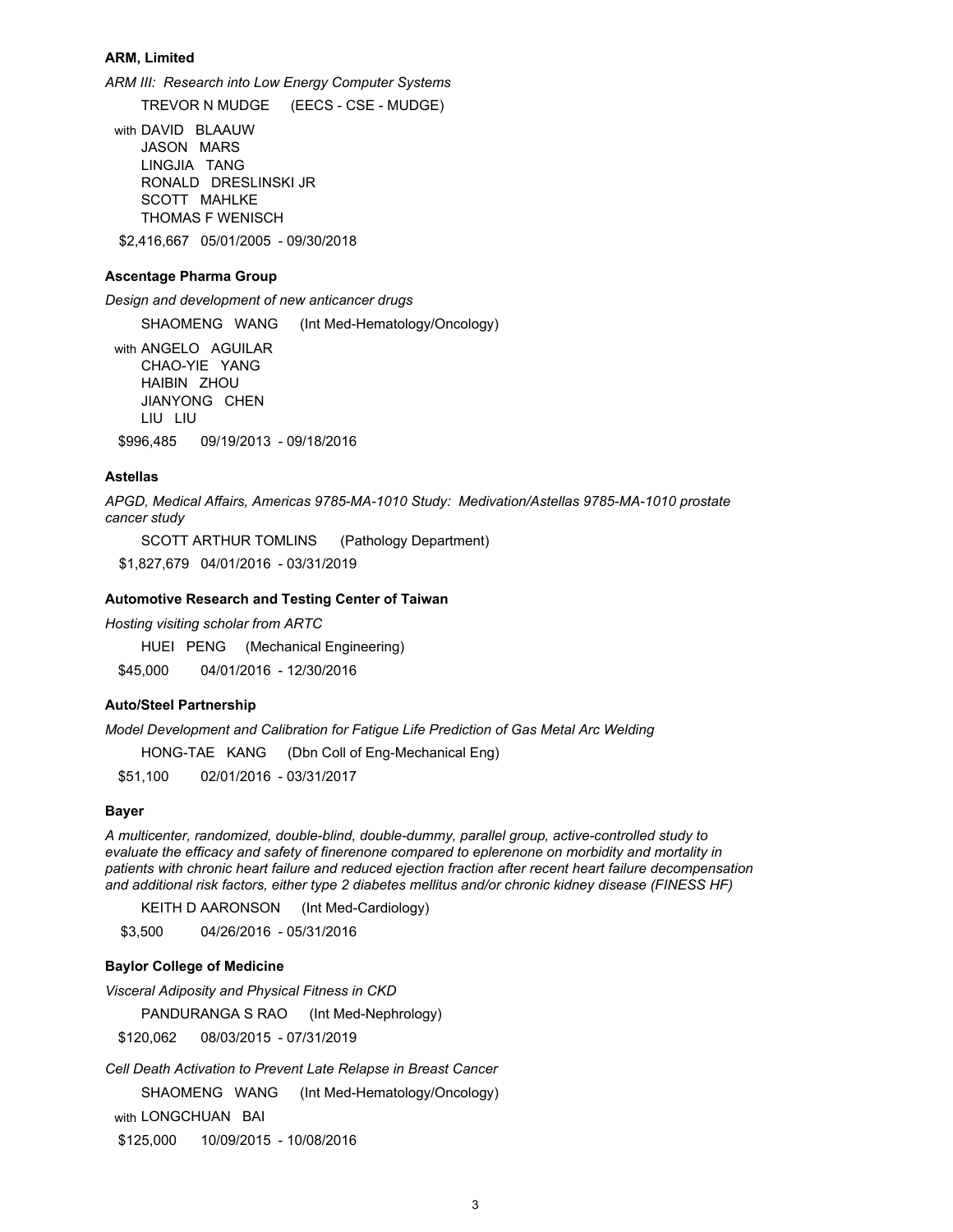#### **ARM, Limited**

*ARM III: Research into Low Energy Computer Systems* 

TREVOR N MUDGE (EECS - CSE - MUDGE)

with DAVID BLAAUW JASON MARS LINGJIA TANG RONALD DRESLINSKI JR SCOTT MAHLKE THOMAS F WENISCH \$2,416,667 05/01/2005 - 09/30/2018

#### **Ascentage Pharma Group**

*Design and development of new anticancer drugs*

SHAOMENG WANG (Int Med-Hematology/Oncology)

with ANGELO AGUILAR CHAO-YIE YANG HAIBIN ZHOU JIANYONG CHEN LIU LIU

\$996,485 09/19/2013 - 09/18/2016

# **Astellas**

*APGD, Medical Affairs, Americas 9785-MA-1010 Study: Medivation/Astellas 9785-MA-1010 prostate cancer study*

SCOTT ARTHUR TOMLINS (Pathology Department)

\$1,827,679 04/01/2016 - 03/31/2019

#### **Automotive Research and Testing Center of Taiwan**

*Hosting visiting scholar from ARTC*

HUEI PENG (Mechanical Engineering)

\$45,000 04/01/2016 - 12/30/2016

# **Auto/Steel Partnership**

*Model Development and Calibration for Fatigue Life Prediction of Gas Metal Arc Welding*

HONG-TAE KANG (Dbn Coll of Eng-Mechanical Eng)

\$51,100 02/01/2016 - 03/31/2017

#### **Bayer**

*A multicenter, randomized, double-blind, double-dummy, parallel group, active-controlled study to evaluate the efficacy and safety of finerenone compared to eplerenone on morbidity and mortality in patients with chronic heart failure and reduced ejection fraction after recent heart failure decompensation and additional risk factors, either type 2 diabetes mellitus and/or chronic kidney disease (FINESS HF)*

KEITH D AARONSON (Int Med-Cardiology)

\$3,500 04/26/2016 - 05/31/2016

# **Baylor College of Medicine**

*Visceral Adiposity and Physical Fitness in CKD*

PANDURANGA S RAO (Int Med-Nephrology)

\$120,062 08/03/2015 - 07/31/2019

*Cell Death Activation to Prevent Late Relapse in Breast Cancer*

SHAOMENG WANG (Int Med-Hematology/Oncology)

with LONGCHUAN BAI

\$125,000 10/09/2015 - 10/08/2016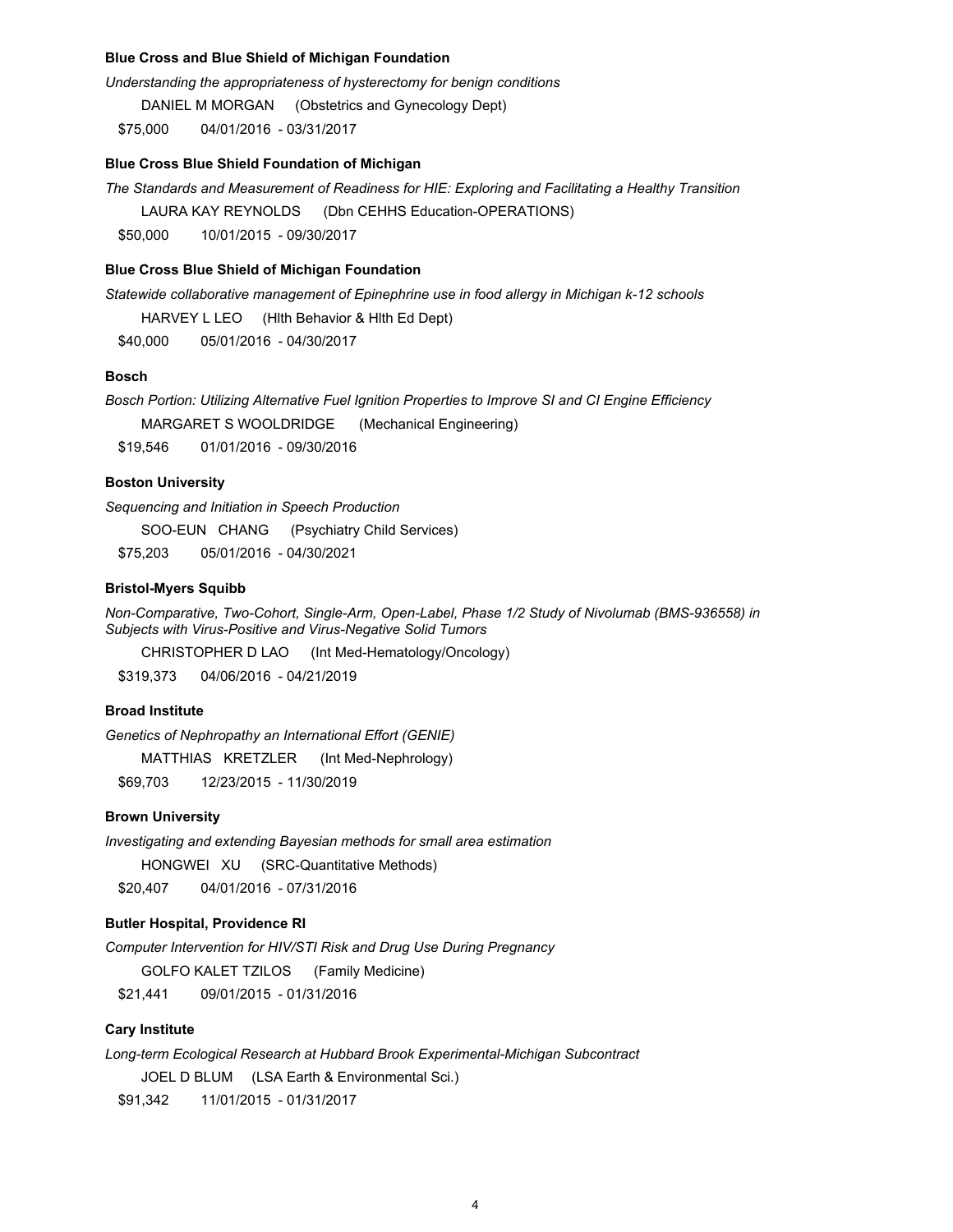# **Blue Cross and Blue Shield of Michigan Foundation**

*Understanding the appropriateness of hysterectomy for benign conditions* 

DANIEL M MORGAN (Obstetrics and Gynecology Dept)

\$75,000 04/01/2016 - 03/31/2017

## **Blue Cross Blue Shield Foundation of Michigan**

*The Standards and Measurement of Readiness for HIE: Exploring and Facilitating a Healthy Transition*

LAURA KAY REYNOLDS (Dbn CEHHS Education-OPERATIONS)

\$50,000 10/01/2015 - 09/30/2017

## **Blue Cross Blue Shield of Michigan Foundation**

*Statewide collaborative management of Epinephrine use in food allergy in Michigan k-12 schools*

HARVEY L LEO (Hlth Behavior & Hlth Ed Dept)

\$40,000 05/01/2016 - 04/30/2017

# **Bosch**

*Bosch Portion: Utilizing Alternative Fuel Ignition Properties to Improve SI and CI Engine Efficiency* 

MARGARET S WOOLDRIDGE (Mechanical Engineering)

\$19,546 01/01/2016 - 09/30/2016

## **Boston University**

*Sequencing and Initiation in Speech Production*

SOO-EUN CHANG (Psychiatry Child Services)

\$75,203 05/01/2016 - 04/30/2021

## **Bristol-Myers Squibb**

*Non-Comparative, Two-Cohort, Single-Arm, Open-Label, Phase 1/2 Study of Nivolumab (BMS-936558) in Subjects with Virus-Positive and Virus-Negative Solid Tumors*

CHRISTOPHER D LAO (Int Med-Hematology/Oncology)

\$319,373 04/06/2016 - 04/21/2019

# **Broad Institute**

*Genetics of Nephropathy an International Effort (GENIE)*

MATTHIAS KRETZLER (Int Med-Nephrology)

\$69,703 12/23/2015 - 11/30/2019

# **Brown University**

*Investigating and extending Bayesian methods for small area estimation*

HONGWEI XU (SRC-Quantitative Methods)

\$20,407 04/01/2016 - 07/31/2016

# **Butler Hospital, Providence RI**

*Computer Intervention for HIV/STI Risk and Drug Use During Pregnancy*

GOLFO KALET TZILOS (Family Medicine)

\$21,441 09/01/2015 - 01/31/2016

# **Cary Institute**

*Long-term Ecological Research at Hubbard Brook Experimental-Michigan Subcontract*

JOEL D BLUM (LSA Earth & Environmental Sci.)

\$91,342 11/01/2015 - 01/31/2017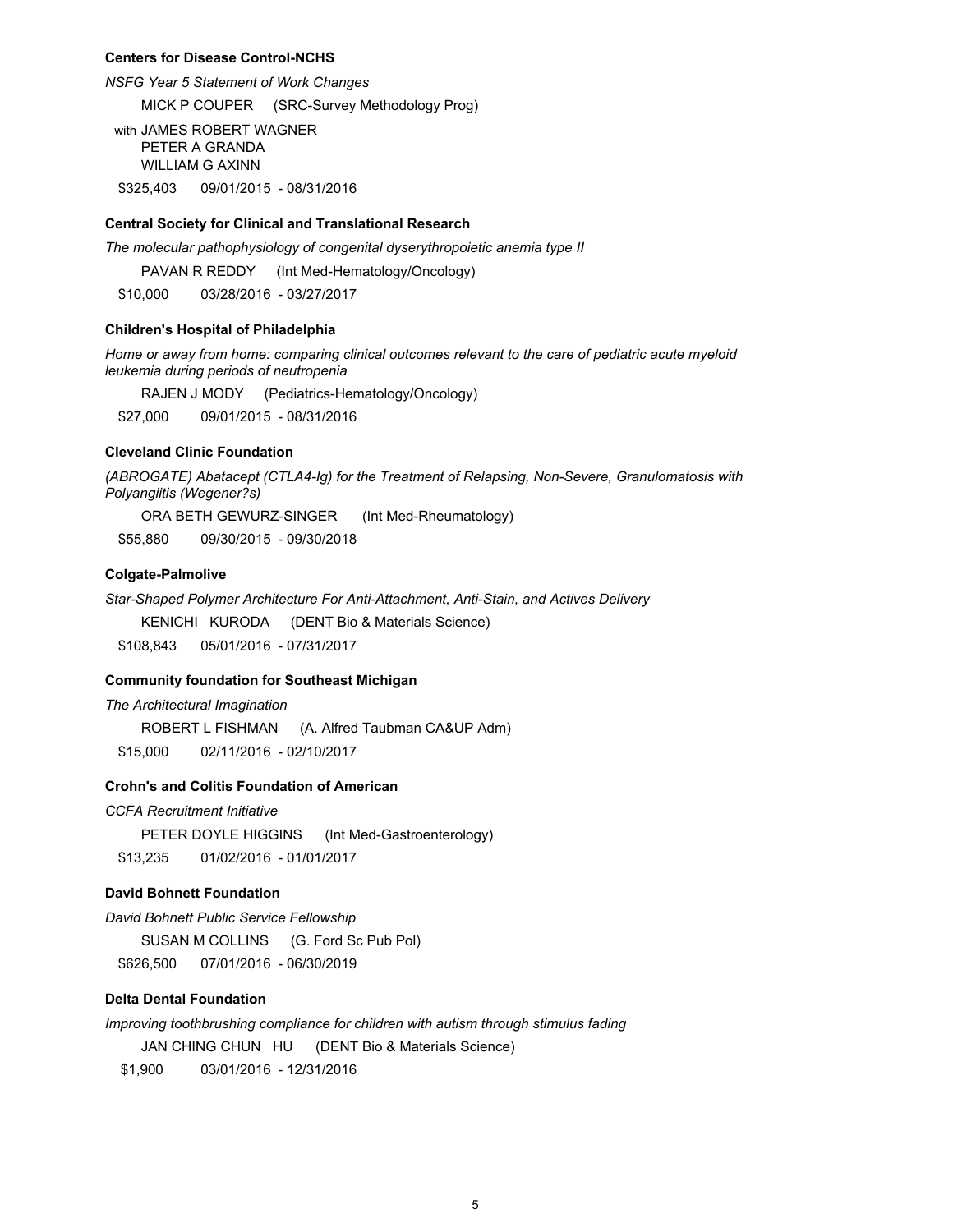#### **Centers for Disease Control-NCHS**

*NSFG Year 5 Statement of Work Changes*

MICK P COUPER (SRC-Survey Methodology Prog)

with JAMES ROBERT WAGNER PETER A GRANDA WILLIAM G AXINN \$325,403 09/01/2015 - 08/31/2016

#### **Central Society for Clinical and Translational Research**

*The molecular pathophysiology of congenital dyserythropoietic anemia type II*

PAVAN R REDDY (Int Med-Hematology/Oncology)

\$10,000 03/28/2016 - 03/27/2017

#### **Children's Hospital of Philadelphia**

*Home or away from home: comparing clinical outcomes relevant to the care of pediatric acute myeloid leukemia during periods of neutropenia*

RAJEN J MODY (Pediatrics-Hematology/Oncology)

\$27,000 09/01/2015 - 08/31/2016

# **Cleveland Clinic Foundation**

*(ABROGATE) Abatacept (CTLA4-Ig) for the Treatment of Relapsing, Non-Severe, Granulomatosis with Polyangiitis (Wegener?s)*

ORA BETH GEWURZ-SINGER (Int Med-Rheumatology)

\$55,880 09/30/2015 - 09/30/2018

# **Colgate-Palmolive**

*Star-Shaped Polymer Architecture For Anti-Attachment, Anti-Stain, and Actives Delivery* 

KENICHI KURODA (DENT Bio & Materials Science)

\$108,843 05/01/2016 - 07/31/2017

#### **Community foundation for Southeast Michigan**

*The Architectural Imagination*

ROBERT L FISHMAN (A. Alfred Taubman CA&UP Adm)

\$15,000 02/11/2016 - 02/10/2017

# **Crohn's and Colitis Foundation of American**

*CCFA Recruitment Initiative*

PETER DOYLE HIGGINS (Int Med-Gastroenterology) \$13,235 01/02/2016 - 01/01/2017

# **David Bohnett Foundation**

*David Bohnett Public Service Fellowship*

SUSAN M COLLINS (G. Ford Sc Pub Pol) \$626,500 07/01/2016 - 06/30/2019

#### **Delta Dental Foundation**

*Improving toothbrushing compliance for children with autism through stimulus fading*

JAN CHING CHUN HU (DENT Bio & Materials Science)

\$1,900 03/01/2016 - 12/31/2016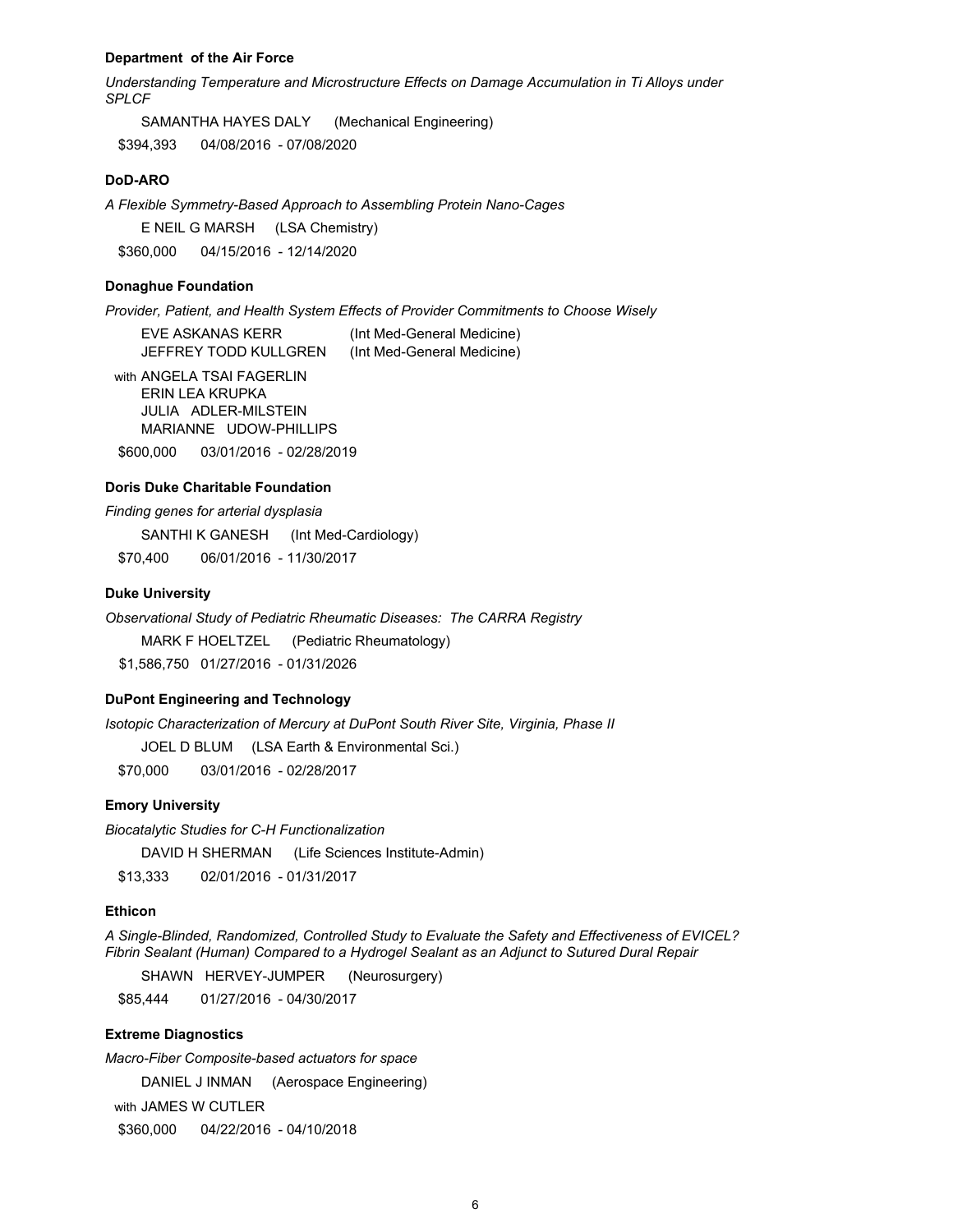#### **Department of the Air Force**

*Understanding Temperature and Microstructure Effects on Damage Accumulation in Ti Alloys under SPLCF* 

SAMANTHA HAYES DALY (Mechanical Engineering) \$394,393 04/08/2016 - 07/08/2020

# **DoD-ARO**

*A Flexible Symmetry-Based Approach to Assembling Protein Nano-Cages*

E NEIL G MARSH (LSA Chemistry)

\$360,000 04/15/2016 - 12/14/2020

# **Donaghue Foundation**

*Provider, Patient, and Health System Effects of Provider Commitments to Choose Wisely*

EVE ASKANAS KERR (Int Med-General Medicine) JEFFREY TODD KULLGREN (Int Med-General Medicine)

with ANGELA TSAI FAGERLIN ERIN LEA KRUPKA JULIA ADLER-MILSTEIN MARIANNE UDOW-PHILLIPS

\$600,000 03/01/2016 - 02/28/2019

# **Doris Duke Charitable Foundation**

*Finding genes for arterial dysplasia*

SANTHI K GANESH (Int Med-Cardiology) \$70,400 06/01/2016 - 11/30/2017

#### **Duke University**

*Observational Study of Pediatric Rheumatic Diseases: The CARRA Registry* MARK F HOELTZEL (Pediatric Rheumatology) \$1,586,750 01/27/2016 - 01/31/2026

#### **DuPont Engineering and Technology**

*Isotopic Characterization of Mercury at DuPont South River Site, Virginia, Phase II*

JOEL D BLUM (LSA Earth & Environmental Sci.)

\$70,000 03/01/2016 - 02/28/2017

## **Emory University**

*Biocatalytic Studies for C-H Functionalization* DAVID H SHERMAN (Life Sciences Institute-Admin) \$13,333 02/01/2016 - 01/31/2017

#### **Ethicon**

*A Single-Blinded, Randomized, Controlled Study to Evaluate the Safety and Effectiveness of EVICEL? Fibrin Sealant (Human) Compared to a Hydrogel Sealant as an Adjunct to Sutured Dural Repair*

SHAWN HERVEY-JUMPER (Neurosurgery)

\$85,444 01/27/2016 - 04/30/2017

# **Extreme Diagnostics**

*Macro-Fiber Composite-based actuators for space*

DANIEL J INMAN (Aerospace Engineering)

with JAMES W CUTLER

\$360,000 04/22/2016 - 04/10/2018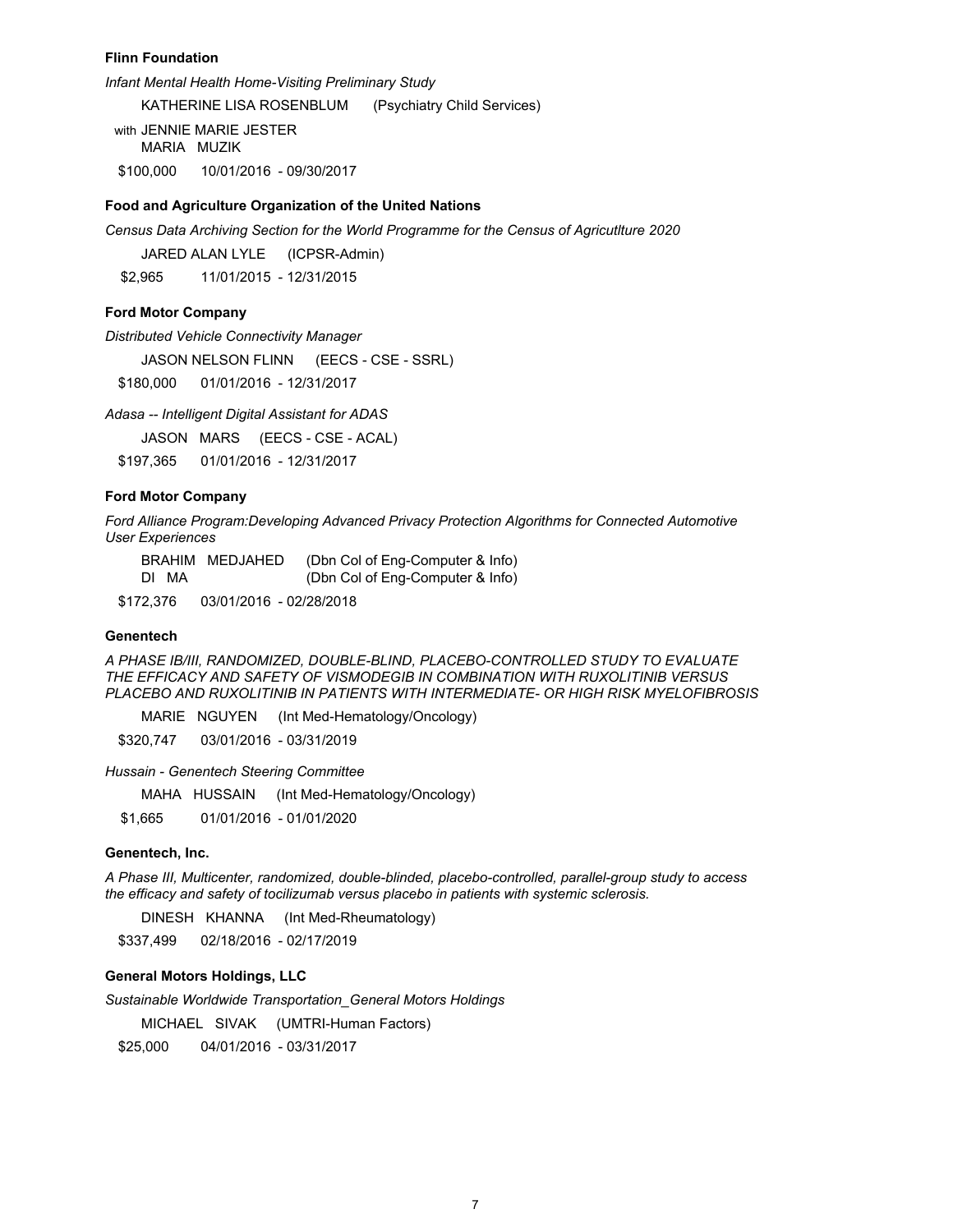#### **Flinn Foundation**

*Infant Mental Health Home-Visiting Preliminary Study* 

KATHERINE LISA ROSENBLUM (Psychiatry Child Services)

with JENNIE MARIE JESTER MARIA MUZIK \$100,000 10/01/2016 - 09/30/2017

# **Food and Agriculture Organization of the United Nations**

*Census Data Archiving Section for the World Programme for the Census of Agricutlture 2020*

JARED ALAN LYLE (ICPSR-Admin) \$2,965 11/01/2015 - 12/31/2015

## **Ford Motor Company**

*Distributed Vehicle Connectivity Manager* 

JASON NELSON FLINN (EECS - CSE - SSRL)

\$180,000 01/01/2016 - 12/31/2017

*Adasa -- Intelligent Digital Assistant for ADAS*

JASON MARS (EECS - CSE - ACAL)

\$197,365 01/01/2016 - 12/31/2017

# **Ford Motor Company**

*Ford Alliance Program:Developing Advanced Privacy Protection Algorithms for Connected Automotive User Experiences*

BRAHIM MEDJAHED (Dbn Col of Eng-Computer & Info) DI MA (Dbn Col of Eng-Computer & Info)

\$172,376 03/01/2016 - 02/28/2018

## **Genentech**

*A PHASE IB/III, RANDOMIZED, DOUBLE-BLIND, PLACEBO-CONTROLLED STUDY TO EVALUATE THE EFFICACY AND SAFETY OF VISMODEGIB IN COMBINATION WITH RUXOLITINIB VERSUS PLACEBO AND RUXOLITINIB IN PATIENTS WITH INTERMEDIATE- OR HIGH RISK MYELOFIBROSIS*

MARIE NGUYEN (Int Med-Hematology/Oncology)

\$320,747 03/01/2016 - 03/31/2019

*Hussain - Genentech Steering Committee* 

MAHA HUSSAIN (Int Med-Hematology/Oncology)

\$1,665 01/01/2016 - 01/01/2020

## **Genentech, Inc.**

*A Phase III, Multicenter, randomized, double-blinded, placebo-controlled, parallel-group study to access the efficacy and safety of tocilizumab versus placebo in patients with systemic sclerosis.*

DINESH KHANNA (Int Med-Rheumatology)

\$337,499 02/18/2016 - 02/17/2019

# **General Motors Holdings, LLC**

*Sustainable Worldwide Transportation\_General Motors Holdings*

MICHAEL SIVAK (UMTRI-Human Factors)

\$25,000 04/01/2016 - 03/31/2017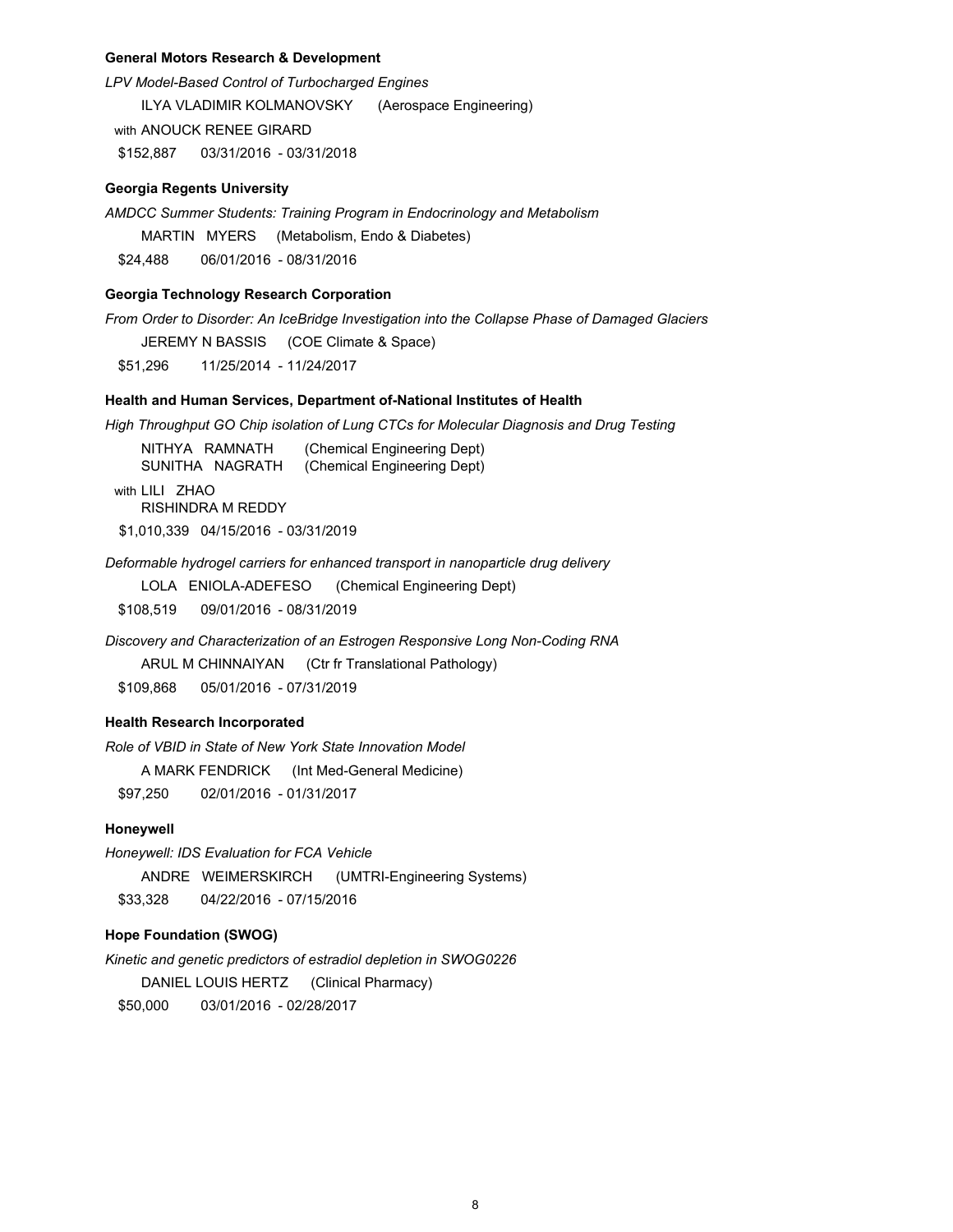## **General Motors Research & Development**

*LPV Model-Based Control of Turbocharged Engines* ILYA VLADIMIR KOLMANOVSKY (Aerospace Engineering) with ANOUCK RENEE GIRARD \$152,887 03/31/2016 - 03/31/2018

#### **Georgia Regents University**

*AMDCC Summer Students: Training Program in Endocrinology and Metabolism*

MARTIN MYERS (Metabolism, Endo & Diabetes)

\$24,488 06/01/2016 - 08/31/2016

## **Georgia Technology Research Corporation**

*From Order to Disorder: An IceBridge Investigation into the Collapse Phase of Damaged Glaciers*

JEREMY N BASSIS (COE Climate & Space)

\$51,296 11/25/2014 - 11/24/2017

## **Health and Human Services, Department of-National Institutes of Health**

*High Throughput GO Chip isolation of Lung CTCs for Molecular Diagnosis and Drug Testing*

NITHYA RAMNATH (Chemical Engineering Dept) SUNITHA NAGRATH (Chemical Engineering Dept) with LILI ZHAO RISHINDRA M REDDY

\$1,010,339 04/15/2016 - 03/31/2019

*Deformable hydrogel carriers for enhanced transport in nanoparticle drug delivery*

LOLA ENIOLA-ADEFESO (Chemical Engineering Dept)

\$108,519 09/01/2016 - 08/31/2019

*Discovery and Characterization of an Estrogen Responsive Long Non-Coding RNA*

ARUL M CHINNAIYAN (Ctr fr Translational Pathology)

\$109,868 05/01/2016 - 07/31/2019

# **Health Research Incorporated**

*Role of VBID in State of New York State Innovation Model* 

A MARK FENDRICK (Int Med-General Medicine)

\$97,250 02/01/2016 - 01/31/2017

## **Honeywell**

*Honeywell: IDS Evaluation for FCA Vehicle*

ANDRE WEIMERSKIRCH (UMTRI-Engineering Systems)

\$33,328 04/22/2016 - 07/15/2016

# **Hope Foundation (SWOG)**

*Kinetic and genetic predictors of estradiol depletion in SWOG0226* DANIEL LOUIS HERTZ (Clinical Pharmacy) \$50,000 03/01/2016 - 02/28/2017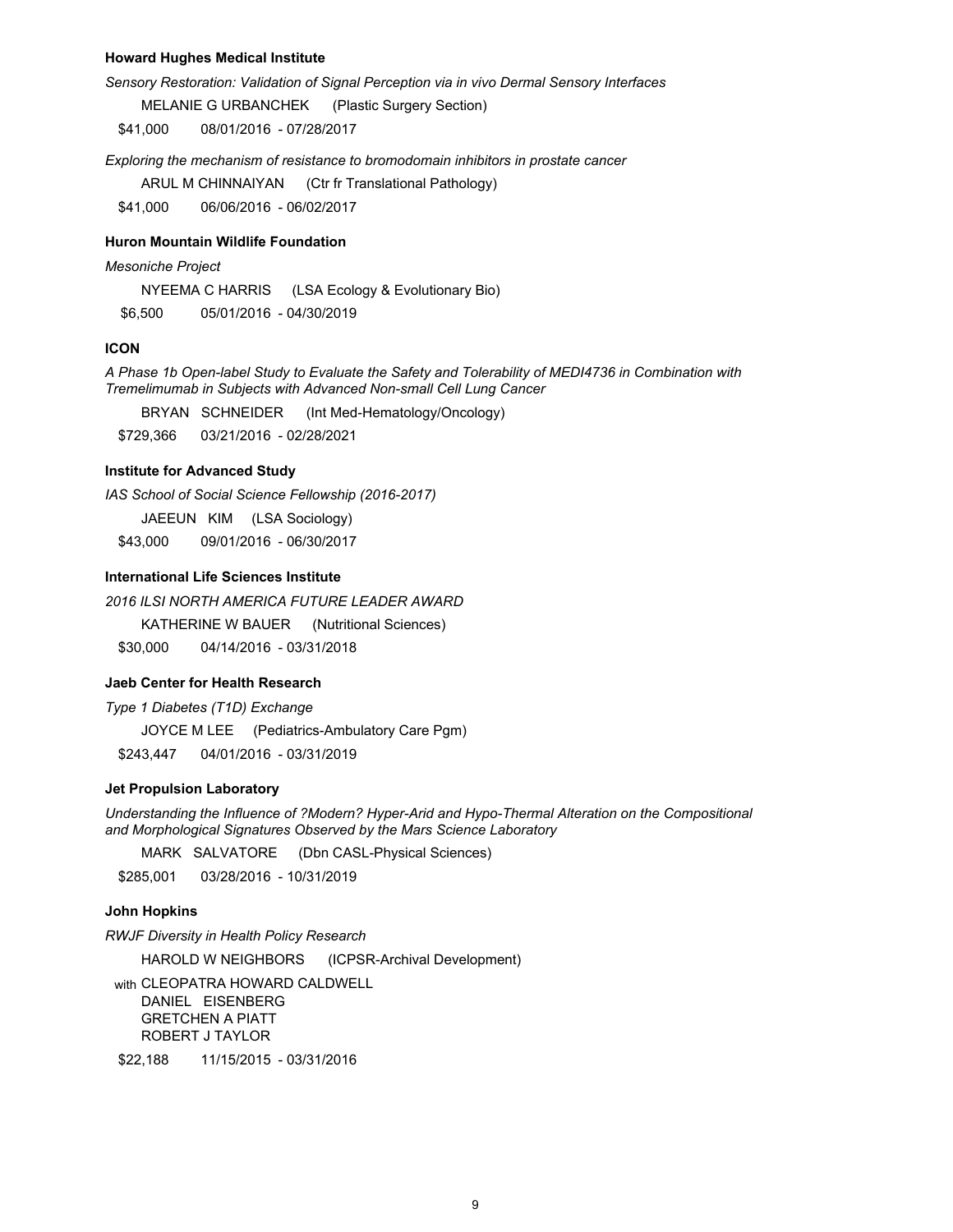#### **Howard Hughes Medical Institute**

*Sensory Restoration: Validation of Signal Perception via in vivo Dermal Sensory Interfaces*

MELANIE G URBANCHEK (Plastic Surgery Section)

\$41,000 08/01/2016 - 07/28/2017

*Exploring the mechanism of resistance to bromodomain inhibitors in prostate cancer*

ARUL M CHINNAIYAN (Ctr fr Translational Pathology)

\$41,000 06/06/2016 - 06/02/2017

#### **Huron Mountain Wildlife Foundation**

#### *Mesoniche Project*

NYEEMA C HARRIS (LSA Ecology & Evolutionary Bio)

\$6,500 05/01/2016 - 04/30/2019

## **ICON**

*A Phase 1b Open-label Study to Evaluate the Safety and Tolerability of MEDI4736 in Combination with Tremelimumab in Subjects with Advanced Non-small Cell Lung Cancer*

BRYAN SCHNEIDER (Int Med-Hematology/Oncology)

\$729,366 03/21/2016 - 02/28/2021

# **Institute for Advanced Study**

*IAS School of Social Science Fellowship (2016-2017)*

JAEEUN KIM (LSA Sociology)

\$43,000 09/01/2016 - 06/30/2017

# **International Life Sciences Institute**

*2016 ILSI NORTH AMERICA FUTURE LEADER AWARD*

KATHERINE W BAUER (Nutritional Sciences)

\$30,000 04/14/2016 - 03/31/2018

# **Jaeb Center for Health Research**

*Type 1 Diabetes (T1D) Exchange*

JOYCE M LEE (Pediatrics-Ambulatory Care Pgm)

\$243,447 04/01/2016 - 03/31/2019

## **Jet Propulsion Laboratory**

*Understanding the Influence of ?Modern? Hyper-Arid and Hypo-Thermal Alteration on the Compositional and Morphological Signatures Observed by the Mars Science Laboratory*

MARK SALVATORE (Dbn CASL-Physical Sciences)

\$285,001 03/28/2016 - 10/31/2019

# **John Hopkins**

*RWJF Diversity in Health Policy Research*

HAROLD W NEIGHBORS (ICPSR-Archival Development)

with CLEOPATRA HOWARD CALDWELL DANIEL EISENBERG GRETCHEN A PIATT ROBERT J TAYLOR

\$22,188 11/15/2015 - 03/31/2016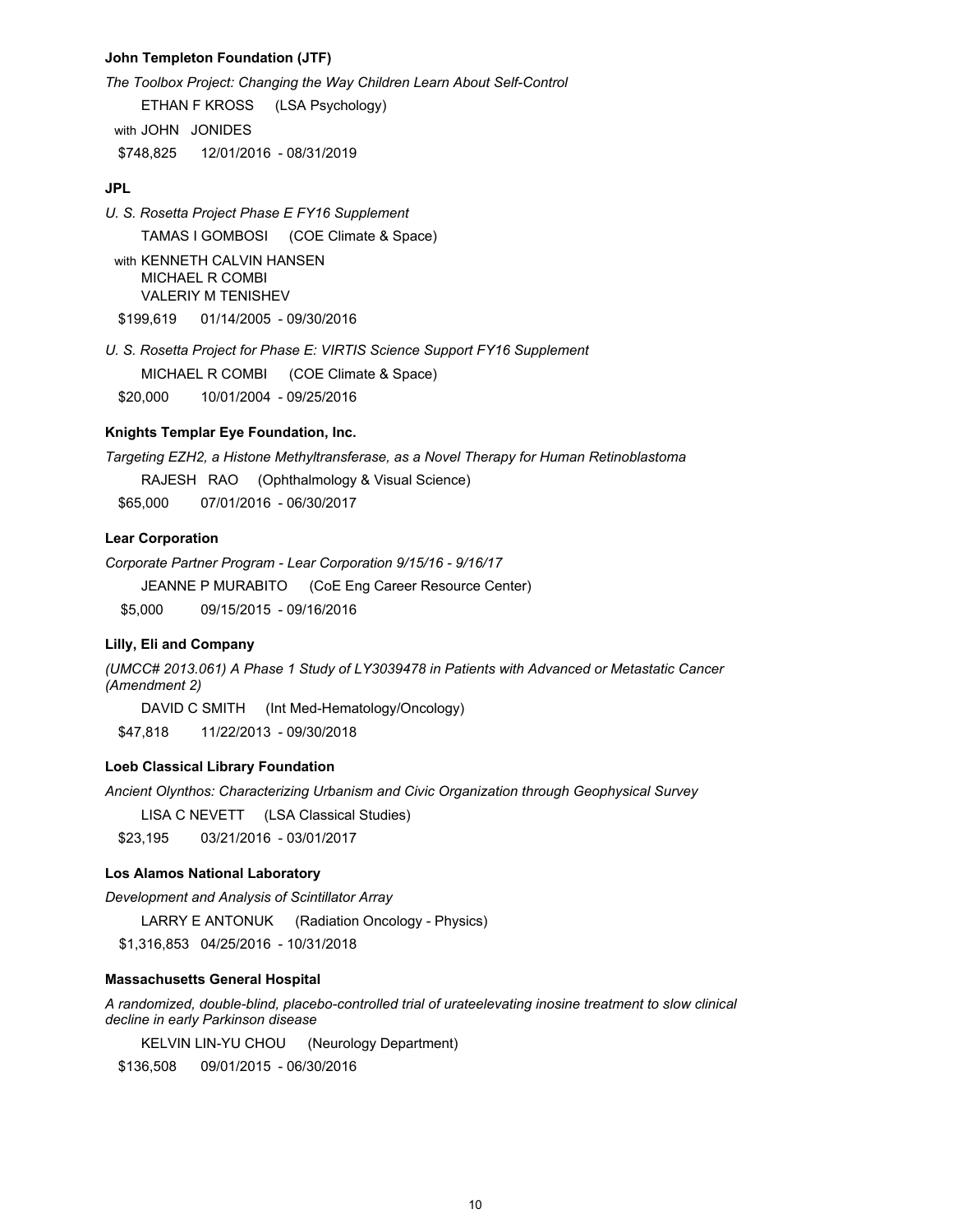## **John Templeton Foundation (JTF)**

*The Toolbox Project: Changing the Way Children Learn About Self-Control*

ETHAN F KROSS (LSA Psychology) with JOHN JONIDES

\$748,825 12/01/2016 - 08/31/2019

# **JPL**

*U. S. Rosetta Project Phase E FY16 Supplement*

TAMAS I GOMBOSI (COE Climate & Space)

with KENNETH CALVIN HANSEN MICHAEL R COMBI VALERIY M TENISHEV \$199,619 01/14/2005 - 09/30/2016

*U. S. Rosetta Project for Phase E: VIRTIS Science Support FY16 Supplement* MICHAEL R COMBI (COE Climate & Space) \$20,000 10/01/2004 - 09/25/2016

# **Knights Templar Eye Foundation, Inc.**

*Targeting EZH2, a Histone Methyltransferase, as a Novel Therapy for Human Retinoblastoma*

RAJESH RAO (Ophthalmology & Visual Science)

\$65,000 07/01/2016 - 06/30/2017

# **Lear Corporation**

*Corporate Partner Program - Lear Corporation 9/15/16 - 9/16/17*

JEANNE P MURABITO (CoE Eng Career Resource Center)

\$5,000 09/15/2015 - 09/16/2016

# **Lilly, Eli and Company**

*(UMCC# 2013.061) A Phase 1 Study of LY3039478 in Patients with Advanced or Metastatic Cancer (Amendment 2)*

DAVID C SMITH (Int Med-Hematology/Oncology)

\$47,818 11/22/2013 - 09/30/2018

# **Loeb Classical Library Foundation**

*Ancient Olynthos: Characterizing Urbanism and Civic Organization through Geophysical Survey*

LISA C NEVETT (LSA Classical Studies)

\$23,195 03/21/2016 - 03/01/2017

## **Los Alamos National Laboratory**

*Development and Analysis of Scintillator Array*

LARRY E ANTONUK (Radiation Oncology - Physics)

\$1,316,853 04/25/2016 - 10/31/2018

#### **Massachusetts General Hospital**

*A randomized, double-blind, placebo-controlled trial of urateelevating inosine treatment to slow clinical decline in early Parkinson disease*

KELVIN LIN-YU CHOU (Neurology Department)

\$136,508 09/01/2015 - 06/30/2016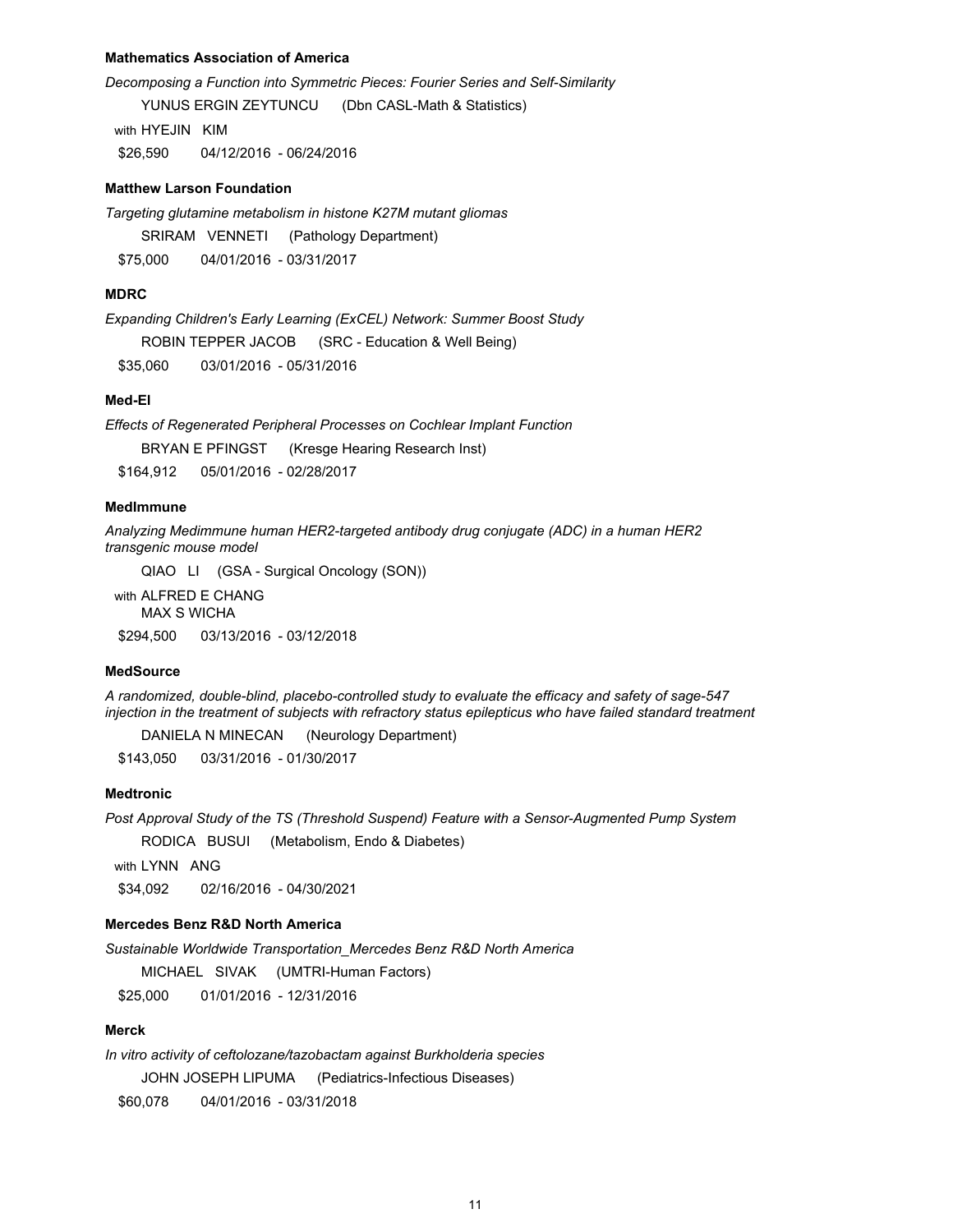## **Mathematics Association of America**

*Decomposing a Function into Symmetric Pieces: Fourier Series and Self-Similarity*

YUNUS ERGIN ZEYTUNCU (Dbn CASL-Math & Statistics)

with HYEJIN KIM \$26,590 04/12/2016 - 06/24/2016

#### **Matthew Larson Foundation**

*Targeting glutamine metabolism in histone K27M mutant gliomas*

SRIRAM VENNETI (Pathology Department) \$75,000 04/01/2016 - 03/31/2017

# **MDRC**

*Expanding Children's Early Learning (ExCEL) Network: Summer Boost Study*

ROBIN TEPPER JACOB (SRC - Education & Well Being)

\$35,060 03/01/2016 - 05/31/2016

## **Med-El**

*Effects of Regenerated Peripheral Processes on Cochlear Implant Function*

BRYAN E PFINGST (Kresge Hearing Research Inst)

\$164,912 05/01/2016 - 02/28/2017

# **MedImmune**

*Analyzing Medimmune human HER2-targeted antibody drug conjugate (ADC) in a human HER2 transgenic mouse model*

QIAO LI (GSA - Surgical Oncology (SON))

with ALFRED E CHANG MAX S WICHA

\$294,500 03/13/2016 - 03/12/2018

## **MedSource**

*A randomized, double-blind, placebo-controlled study to evaluate the efficacy and safety of sage-547 injection in the treatment of subjects with refractory status epilepticus who have failed standard treatment*

DANIELA N MINECAN (Neurology Department)

\$143,050 03/31/2016 - 01/30/2017

# **Medtronic**

*Post Approval Study of the TS (Threshold Suspend) Feature with a Sensor-Augmented Pump System* 

RODICA BUSUI (Metabolism, Endo & Diabetes)

with LYNN ANG

\$34,092 02/16/2016 - 04/30/2021

# **Mercedes Benz R&D North America**

*Sustainable Worldwide Transportation\_Mercedes Benz R&D North America*

MICHAEL SIVAK (UMTRI-Human Factors)

\$25,000 01/01/2016 - 12/31/2016

# **Merck**

*In vitro activity of ceftolozane/tazobactam against Burkholderia species* JOHN JOSEPH LIPUMA (Pediatrics-Infectious Diseases)

\$60,078 04/01/2016 - 03/31/2018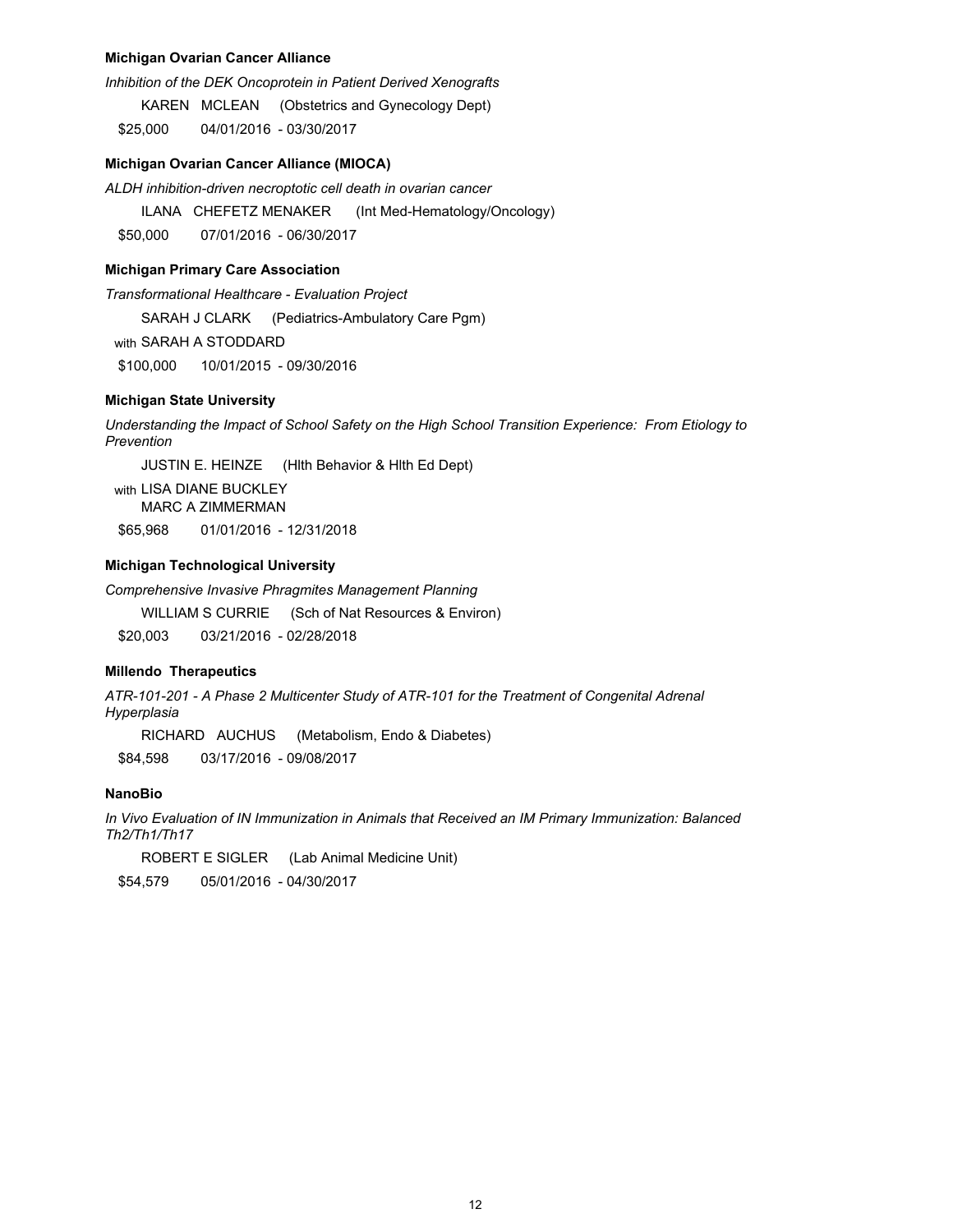#### **Michigan Ovarian Cancer Alliance**

*Inhibition of the DEK Oncoprotein in Patient Derived Xenografts*

KAREN MCLEAN (Obstetrics and Gynecology Dept)

\$25,000 04/01/2016 - 03/30/2017

## **Michigan Ovarian Cancer Alliance (MIOCA)**

*ALDH inhibition-driven necroptotic cell death in ovarian cancer*

ILANA CHEFETZ MENAKER (Int Med-Hematology/Oncology)

\$50,000 07/01/2016 - 06/30/2017

## **Michigan Primary Care Association**

*Transformational Healthcare - Evaluation Project*

SARAH J CLARK (Pediatrics-Ambulatory Care Pgm)

with SARAH A STODDARD

\$100,000 10/01/2015 - 09/30/2016

## **Michigan State University**

*Understanding the Impact of School Safety on the High School Transition Experience: From Etiology to Prevention*

JUSTIN E. HEINZE (Hlth Behavior & Hlth Ed Dept)

with LISA DIANE BUCKLEY MARC A ZIMMERMAN \$65,968 01/01/2016 - 12/31/2018

#### **Michigan Technological University**

*Comprehensive Invasive Phragmites Management Planning*

WILLIAM S CURRIE (Sch of Nat Resources & Environ)

\$20,003 03/21/2016 - 02/28/2018

# **Millendo Therapeutics**

*ATR-101-201 - A Phase 2 Multicenter Study of ATR-101 for the Treatment of Congenital Adrenal Hyperplasia*

RICHARD AUCHUS (Metabolism, Endo & Diabetes) \$84,598 03/17/2016 - 09/08/2017

# **NanoBio**

*In Vivo Evaluation of IN Immunization in Animals that Received an IM Primary Immunization: Balanced Th2/Th1/Th17*

ROBERT E SIGLER (Lab Animal Medicine Unit) \$54,579 05/01/2016 - 04/30/2017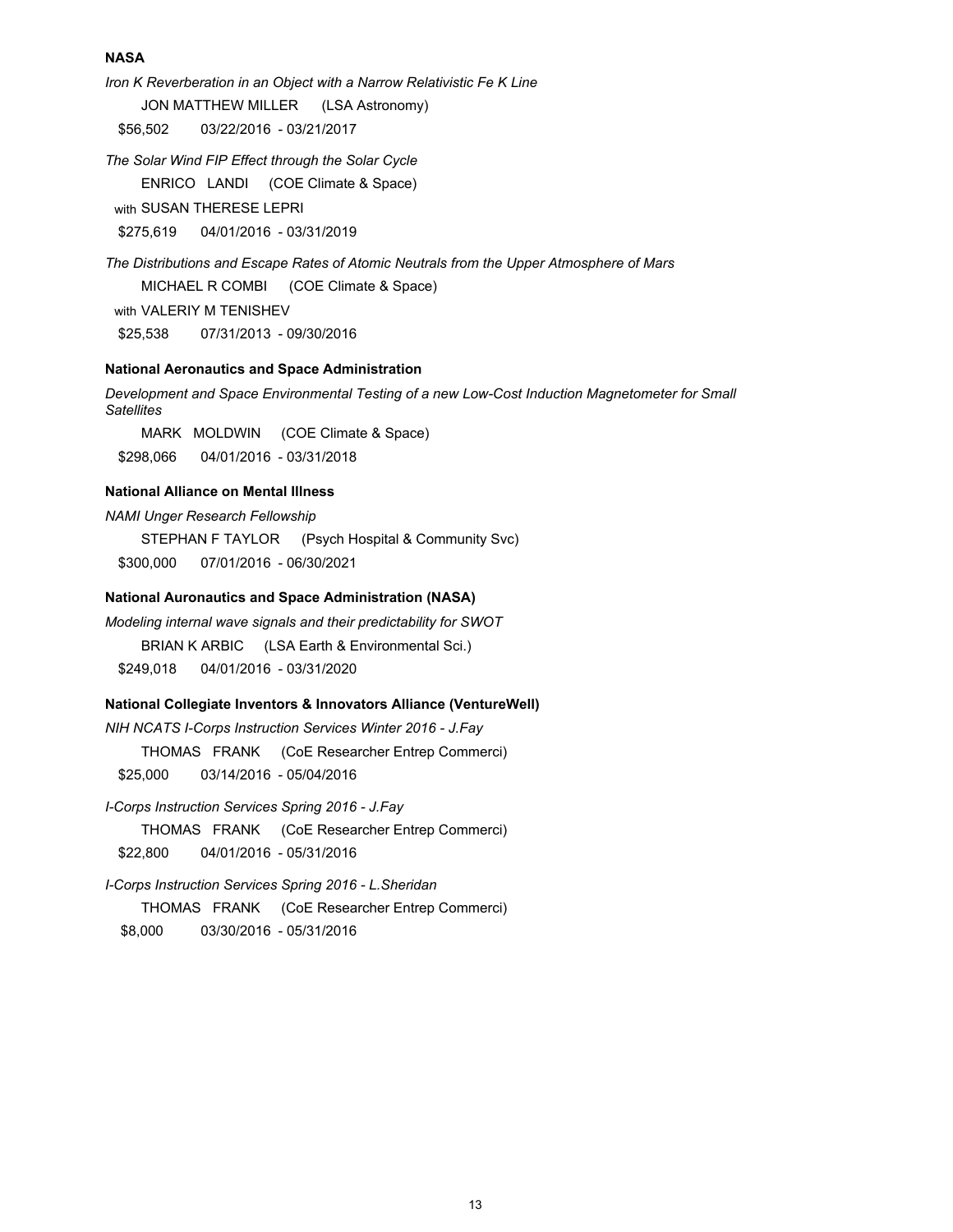## **NASA**

*Iron K Reverberation in an Object with a Narrow Relativistic Fe K Line* JON MATTHEW MILLER (LSA Astronomy) \$56,502 03/22/2016 - 03/21/2017

*The Solar Wind FIP Effect through the Solar Cycle* ENRICO LANDI (COE Climate & Space)

with SUSAN THERESE LEPRI

\$275,619 04/01/2016 - 03/31/2019

*The Distributions and Escape Rates of Atomic Neutrals from the Upper Atmosphere of Mars* MICHAEL R COMBI (COE Climate & Space) with VALERIY M TENISHEV \$25,538 07/31/2013 - 09/30/2016

# **National Aeronautics and Space Administration**

*Development and Space Environmental Testing of a new Low-Cost Induction Magnetometer for Small Satellites* 

MARK MOLDWIN (COE Climate & Space) \$298,066 04/01/2016 - 03/31/2018

## **National Alliance on Mental Illness**

*NAMI Unger Research Fellowship*

STEPHAN F TAYLOR (Psych Hospital & Community Svc)

\$300,000 07/01/2016 - 06/30/2021

# **National Auronautics and Space Administration (NASA)**

*Modeling internal wave signals and their predictability for SWOT* BRIAN K ARBIC (LSA Earth & Environmental Sci.) \$249,018 04/01/2016 - 03/31/2020

## **National Collegiate Inventors & Innovators Alliance (VentureWell)**

*NIH NCATS I-Corps Instruction Services Winter 2016 - J.Fay* THOMAS FRANK (CoE Researcher Entrep Commerci) \$25,000 03/14/2016 - 05/04/2016

*I-Corps Instruction Services Spring 2016 - J.Fay*

THOMAS FRANK (CoE Researcher Entrep Commerci)

\$22,800 04/01/2016 - 05/31/2016

*I-Corps Instruction Services Spring 2016 - L.Sheridan*

THOMAS FRANK (CoE Researcher Entrep Commerci)

\$8,000 03/30/2016 - 05/31/2016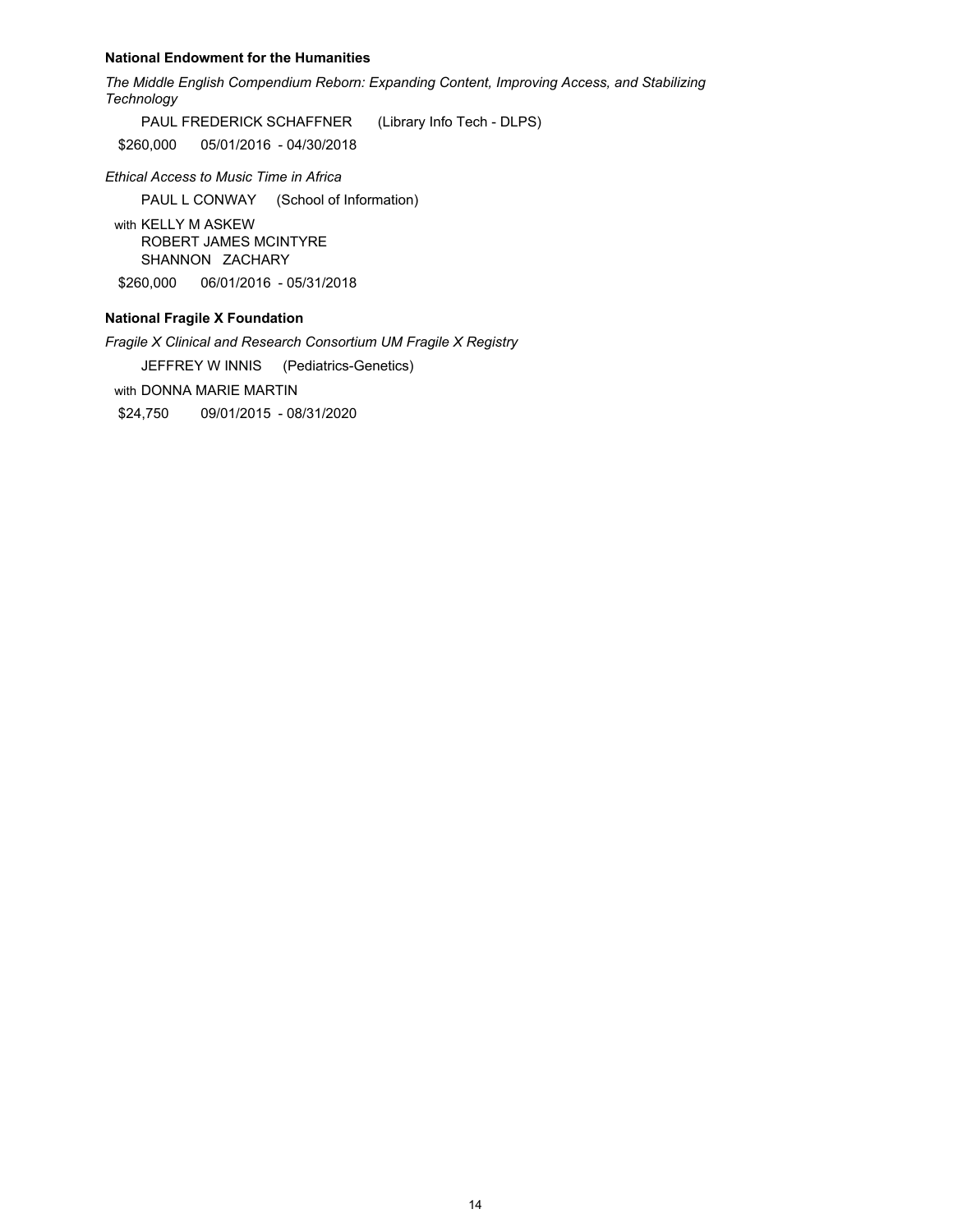#### **National Endowment for the Humanities**

*The Middle English Compendium Reborn: Expanding Content, Improving Access, and Stabilizing Technology*

PAUL FREDERICK SCHAFFNER (Library Info Tech - DLPS)

\$260,000 05/01/2016 - 04/30/2018

*Ethical Access to Music Time in Africa*

PAUL L CONWAY (School of Information)

with KELLY M ASKEW ROBERT JAMES MCINTYRE SHANNON ZACHARY

\$260,000 06/01/2016 - 05/31/2018

# **National Fragile X Foundation**

*Fragile X Clinical and Research Consortium UM Fragile X Registry* 

JEFFREY W INNIS (Pediatrics-Genetics)

with DONNA MARIE MARTIN

\$24,750 09/01/2015 - 08/31/2020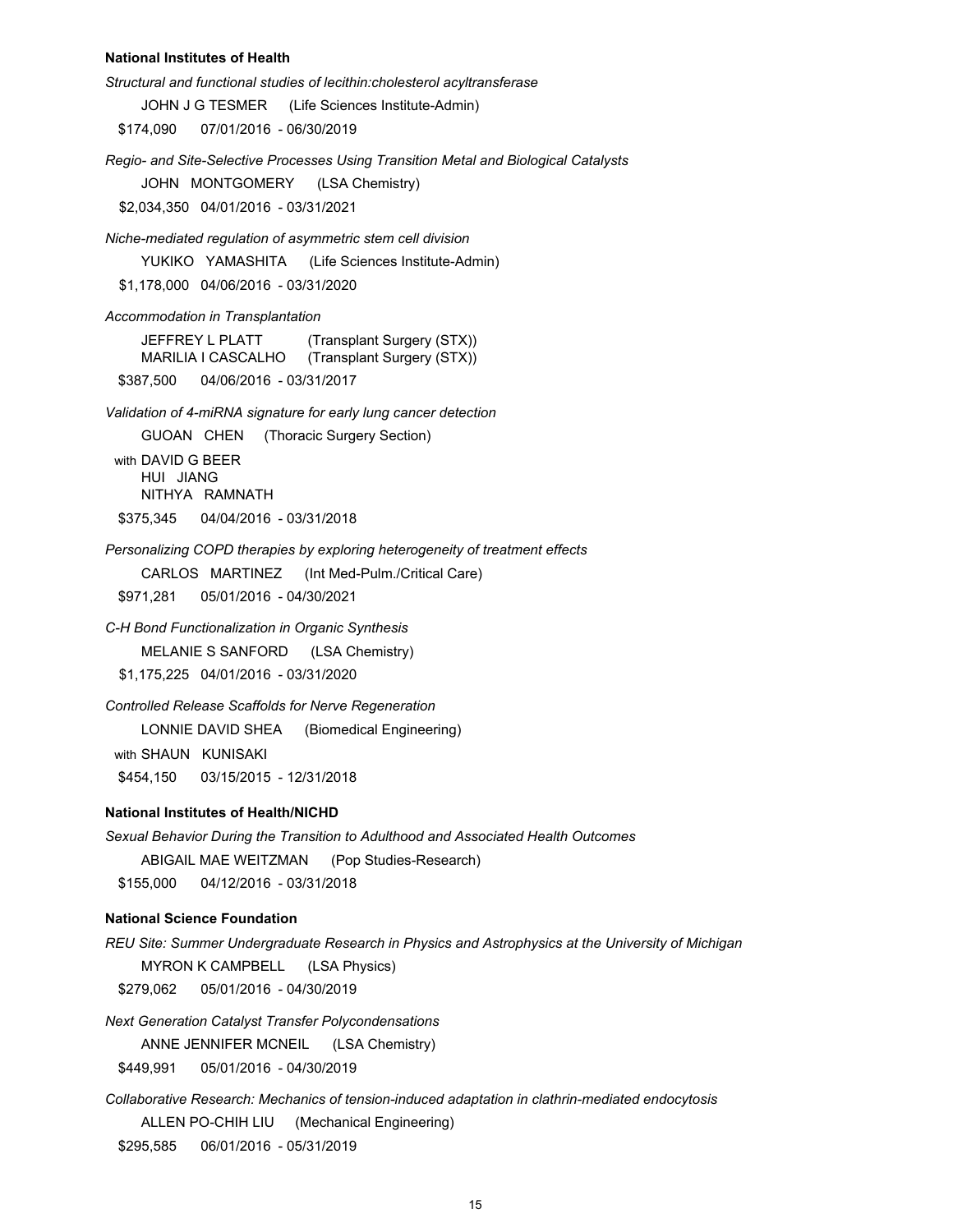#### **National Institutes of Health**

*Structural and functional studies of lecithin:cholesterol acyltransferase*

JOHN J G TESMER (Life Sciences Institute-Admin)

\$174,090 07/01/2016 - 06/30/2019

*Regio- and Site-Selective Processes Using Transition Metal and Biological Catalysts*

JOHN MONTGOMERY (LSA Chemistry)

\$2,034,350 04/01/2016 - 03/31/2021

*Niche-mediated regulation of asymmetric stem cell division*

YUKIKO YAMASHITA (Life Sciences Institute-Admin)

\$1,178,000 04/06/2016 - 03/31/2020

*Accommodation in Transplantation*

JEFFREY L PLATT (Transplant Surgery (STX)) MARILIA I CASCALHO (Transplant Surgery (STX)) \$387,500 04/06/2016 - 03/31/2017

*Validation of 4-miRNA signature for early lung cancer detection*

GUOAN CHEN (Thoracic Surgery Section) with DAVID G BEER HUI JIANG NITHYA RAMNATH \$375,345 04/04/2016 - 03/31/2018

*Personalizing COPD therapies by exploring heterogeneity of treatment effects*

CARLOS MARTINEZ (Int Med-Pulm./Critical Care)

\$971,281 05/01/2016 - 04/30/2021

*C-H Bond Functionalization in Organic Synthesis* MELANIE S SANFORD (LSA Chemistry) \$1,175,225 04/01/2016 - 03/31/2020

*Controlled Release Scaffolds for Nerve Regeneration*

LONNIE DAVID SHEA (Biomedical Engineering)

with SHAUN KUNISAKI \$454,150 03/15/2015 - 12/31/2018

#### **National Institutes of Health/NICHD**

*Sexual Behavior During the Transition to Adulthood and Associated Health Outcomes* ABIGAIL MAE WEITZMAN (Pop Studies-Research) \$155,000 04/12/2016 - 03/31/2018

#### **National Science Foundation**

*REU Site: Summer Undergraduate Research in Physics and Astrophysics at the University of Michigan* MYRON K CAMPBELL (LSA Physics)

\$279,062 05/01/2016 - 04/30/2019

*Next Generation Catalyst Transfer Polycondensations* ANNE JENNIFER MCNEIL (LSA Chemistry) \$449,991 05/01/2016 - 04/30/2019

*Collaborative Research: Mechanics of tension-induced adaptation in clathrin-mediated endocytosis* ALLEN PO-CHIH LIU (Mechanical Engineering) \$295,585 06/01/2016 - 05/31/2019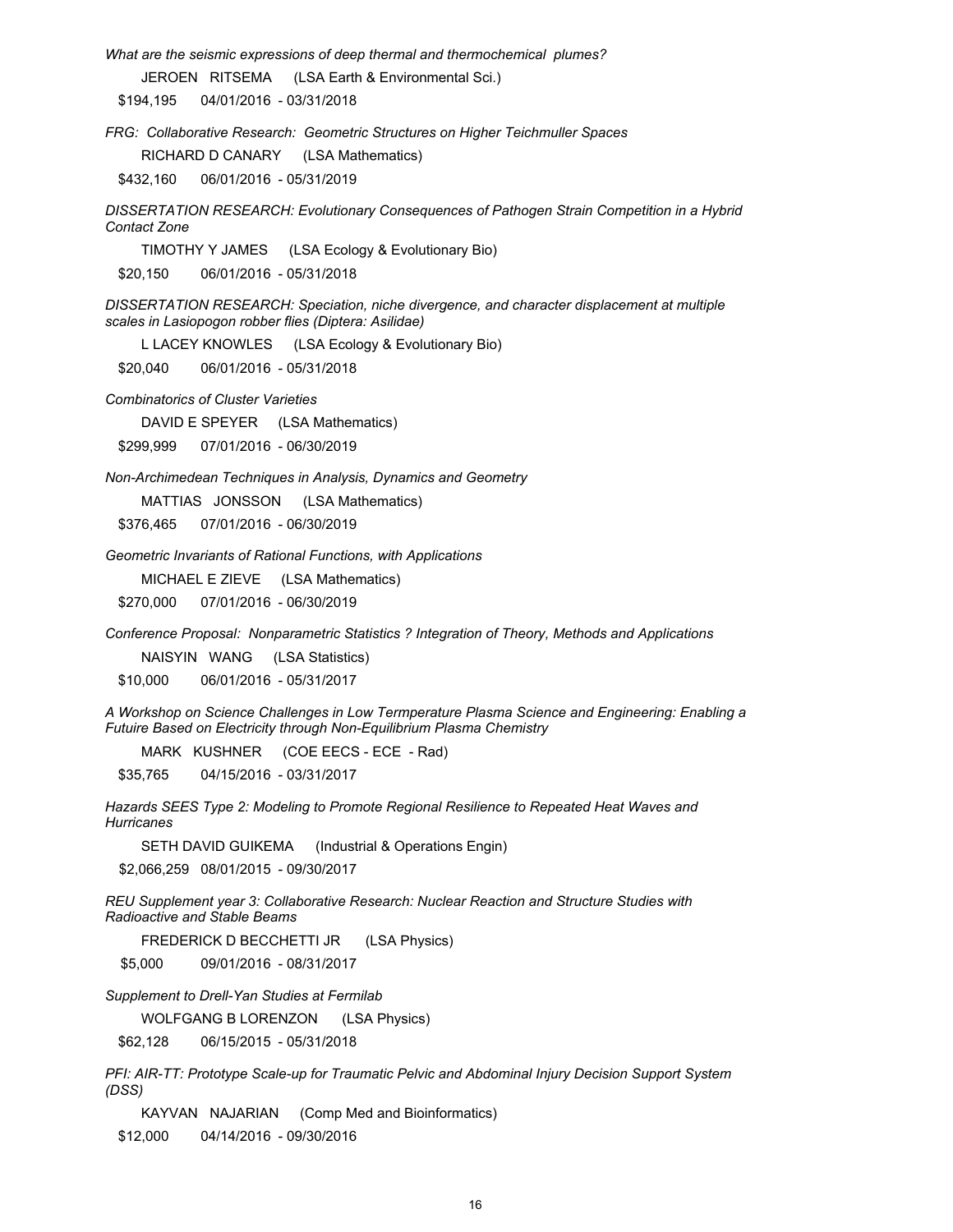*What are the seismic expressions of deep thermal and thermochemical plumes?*

JEROEN RITSEMA (LSA Earth & Environmental Sci.)

\$194,195 04/01/2016 - 03/31/2018

*FRG: Collaborative Research: Geometric Structures on Higher Teichmuller Spaces*

RICHARD D CANARY (LSA Mathematics)

\$432,160 06/01/2016 - 05/31/2019

*DISSERTATION RESEARCH: Evolutionary Consequences of Pathogen Strain Competition in a Hybrid Contact Zone*

TIMOTHY Y JAMES (LSA Ecology & Evolutionary Bio)

\$20,150 06/01/2016 - 05/31/2018

*DISSERTATION RESEARCH: Speciation, niche divergence, and character displacement at multiple scales in Lasiopogon robber flies (Diptera: Asilidae)*

L LACEY KNOWLES (LSA Ecology & Evolutionary Bio)

\$20,040 06/01/2016 - 05/31/2018

*Combinatorics of Cluster Varieties*

DAVID E SPEYER (LSA Mathematics)

\$299,999 07/01/2016 - 06/30/2019

*Non-Archimedean Techniques in Analysis, Dynamics and Geometry*

MATTIAS JONSSON (LSA Mathematics)

\$376,465 07/01/2016 - 06/30/2019

*Geometric Invariants of Rational Functions, with Applications*

MICHAEL E ZIEVE (LSA Mathematics)

\$270,000 07/01/2016 - 06/30/2019

*Conference Proposal: Nonparametric Statistics ? Integration of Theory, Methods and Applications*

NAISYIN WANG (LSA Statistics)

\$10,000 06/01/2016 - 05/31/2017

*A Workshop on Science Challenges in Low Termperature Plasma Science and Engineering: Enabling a Futuire Based on Electricity through Non-Equilibrium Plasma Chemistry*

MARK KUSHNER (COE EECS - ECE - Rad)

\$35,765 04/15/2016 - 03/31/2017

*Hazards SEES Type 2: Modeling to Promote Regional Resilience to Repeated Heat Waves and Hurricanes*

SETH DAVID GUIKEMA (Industrial & Operations Engin)

\$2,066,259 08/01/2015 - 09/30/2017

*REU Supplement year 3: Collaborative Research: Nuclear Reaction and Structure Studies with Radioactive and Stable Beams* 

FREDERICK D BECCHETTI JR (LSA Physics)

\$5,000 09/01/2016 - 08/31/2017

*Supplement to Drell-Yan Studies at Fermilab*

WOLFGANG B LORENZON (LSA Physics)

\$62,128 06/15/2015 - 05/31/2018

*PFI: AIR-TT: Prototype Scale-up for Traumatic Pelvic and Abdominal Injury Decision Support System (DSS)*

KAYVAN NAJARIAN (Comp Med and Bioinformatics)

\$12,000 04/14/2016 - 09/30/2016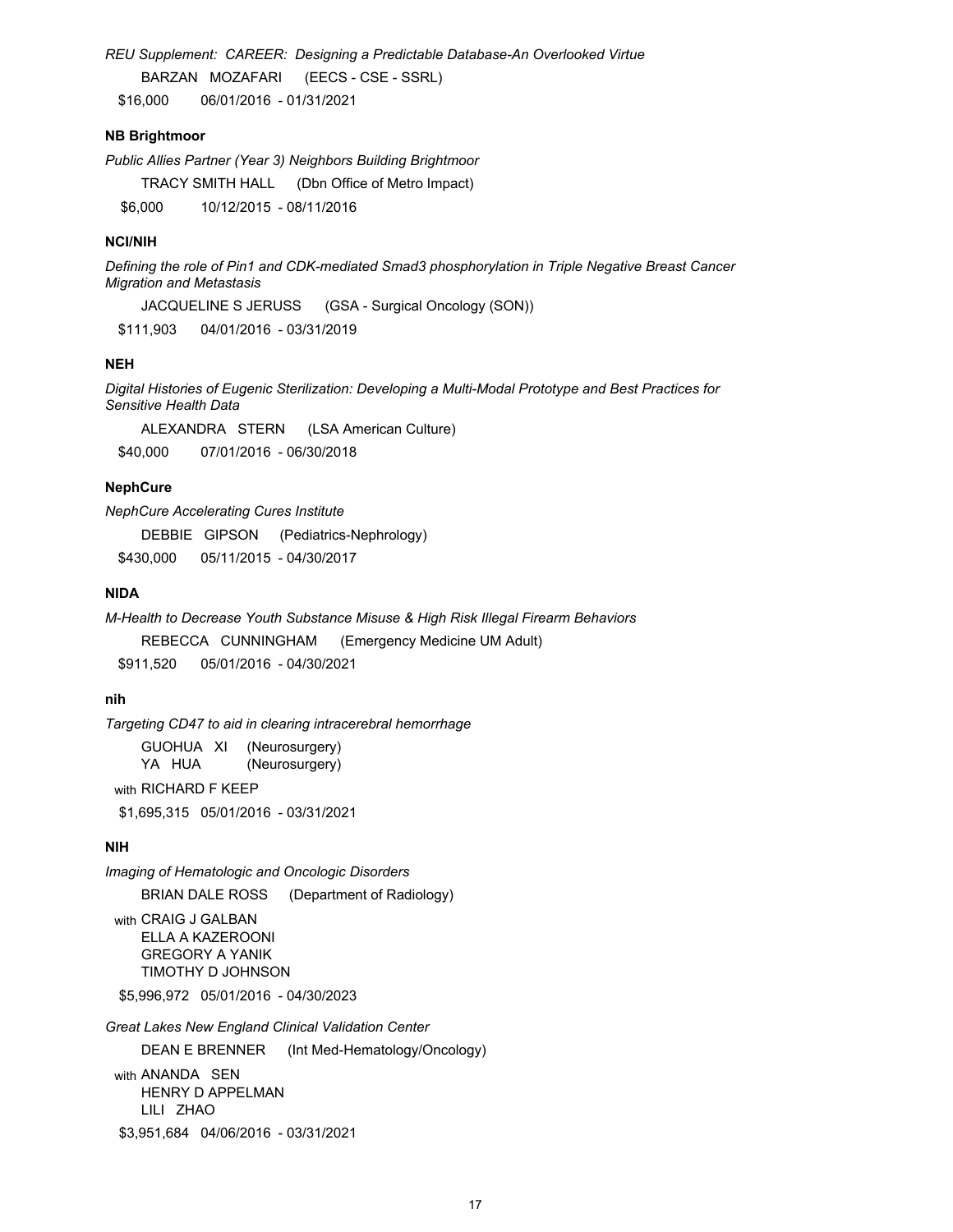*REU Supplement: CAREER: Designing a Predictable Database-An Overlooked Virtue* BARZAN MOZAFARI (EECS - CSE - SSRL) \$16,000 06/01/2016 - 01/31/2021

#### **NB Brightmoor**

*Public Allies Partner (Year 3) Neighbors Building Brightmoor*

TRACY SMITH HALL (Dbn Office of Metro Impact)

\$6,000 10/12/2015 - 08/11/2016

## **NCI/NIH**

*Defining the role of Pin1 and CDK-mediated Smad3 phosphorylation in Triple Negative Breast Cancer Migration and Metastasis*

JACQUELINE S JERUSS (GSA - Surgical Oncology (SON))

\$111,903 04/01/2016 - 03/31/2019

#### **NEH**

*Digital Histories of Eugenic Sterilization: Developing a Multi-Modal Prototype and Best Practices for Sensitive Health Data*

ALEXANDRA STERN (LSA American Culture)

\$40,000 07/01/2016 - 06/30/2018

# **NephCure**

*NephCure Accelerating Cures Institute* 

DEBBIE GIPSON (Pediatrics-Nephrology)

\$430,000 05/11/2015 - 04/30/2017

# **NIDA**

*M-Health to Decrease Youth Substance Misuse & High Risk Illegal Firearm Behaviors*

REBECCA CUNNINGHAM (Emergency Medicine UM Adult)

\$911,520 05/01/2016 - 04/30/2021

# **nih**

*Targeting CD47 to aid in clearing intracerebral hemorrhage*

GUOHUA XI (Neurosurgery)<br>
YA HUA (Neurosurgery) (Neurosurgery) with RICHARD F KEEP

\$1,695,315 05/01/2016 - 03/31/2021

# **NIH**

*Imaging of Hematologic and Oncologic Disorders*

BRIAN DALE ROSS (Department of Radiology)

with CRAIG J GALBAN ELLA A KAZEROONI GREGORY A YANIK TIMOTHY D JOHNSON

\$5,996,972 05/01/2016 - 04/30/2023

*Great Lakes New England Clinical Validation Center*

DEAN E BRENNER (Int Med-Hematology/Oncology)

with ANANDA SEN HENRY D APPELMAN LILI ZHAO \$3,951,684 04/06/2016 - 03/31/2021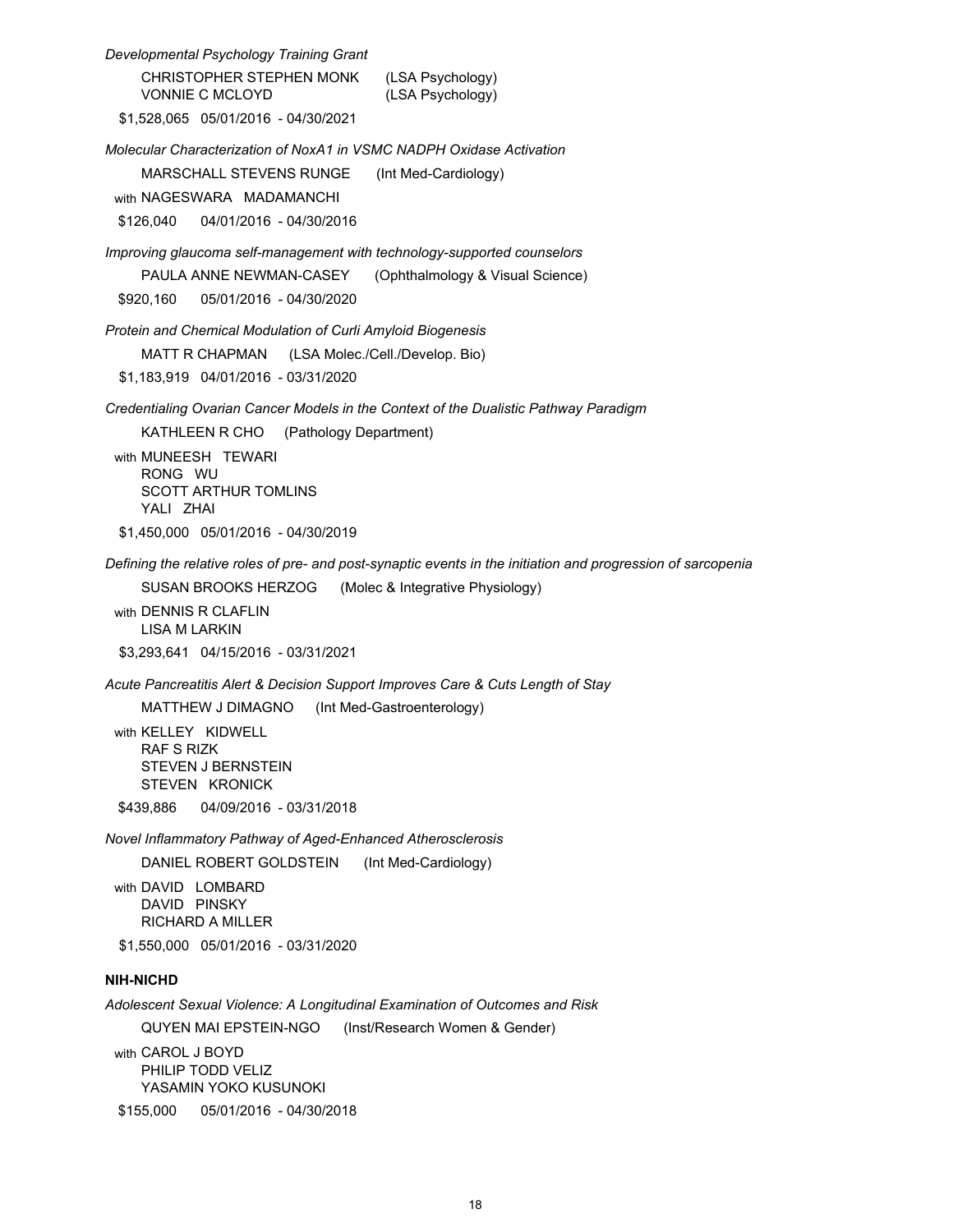*Developmental Psychology Training Grant* CHRISTOPHER STEPHEN MONK (LSA Psychology) VONNIE C MCLOYD (LSA Psychology) \$1,528,065 05/01/2016 - 04/30/2021 *Molecular Characterization of NoxA1 in VSMC NADPH Oxidase Activation* MARSCHALL STEVENS RUNGE (Int Med-Cardiology) with NAGESWARA MADAMANCHI \$126,040 04/01/2016 - 04/30/2016 *Improving glaucoma self-management with technology-supported counselors* PAULA ANNE NEWMAN-CASEY (Ophthalmology & Visual Science) \$920,160 05/01/2016 - 04/30/2020 *Protein and Chemical Modulation of Curli Amyloid Biogenesis* MATT R CHAPMAN (LSA Molec./Cell./Develop. Bio) \$1,183,919 04/01/2016 - 03/31/2020 *Credentialing Ovarian Cancer Models in the Context of the Dualistic Pathway Paradigm*  KATHLEEN R CHO (Pathology Department) with MUNEESH TEWARI RONG WU SCOTT ARTHUR TOMLINS YALI ZHAI \$1,450,000 05/01/2016 - 04/30/2019 *Defining the relative roles of pre- and post-synaptic events in the initiation and progression of sarcopenia*  SUSAN BROOKS HERZOG (Molec & Integrative Physiology) with DENNIS R CLAFLIN LISA M LARKIN \$3,293,641 04/15/2016 - 03/31/2021 *Acute Pancreatitis Alert & Decision Support Improves Care & Cuts Length of Stay* MATTHEW J DIMAGNO (Int Med-Gastroenterology) with KELLEY KIDWELL RAF S RIZK STEVEN J BERNSTEIN STEVEN KRONICK \$439,886 04/09/2016 - 03/31/2018 *Novel Inflammatory Pathway of Aged-Enhanced Atherosclerosis* DANIEL ROBERT GOLDSTEIN (Int Med-Cardiology) with DAVID LOMBARD DAVID PINSKY RICHARD A MILLER \$1,550,000 05/01/2016 - 03/31/2020 *Adolescent Sexual Violence: A Longitudinal Examination of Outcomes and Risk* QUYEN MAI EPSTEIN-NGO (Inst/Research Women & Gender) **NIH-NICHD**

with CAROL J BOYD PHILIP TODD VELIZ YASAMIN YOKO KUSUNOKI

\$155,000 05/01/2016 - 04/30/2018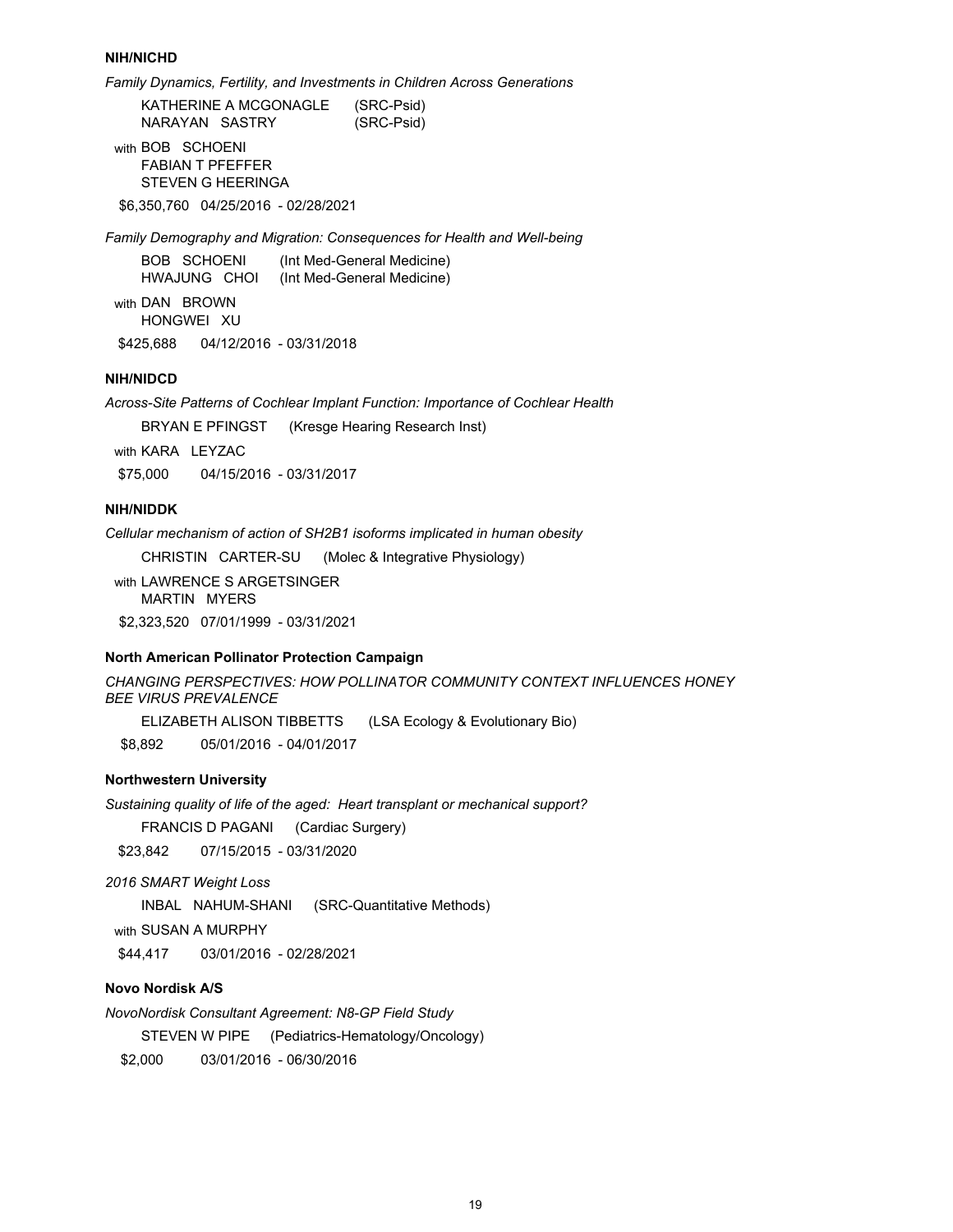#### **NIH/NICHD**

*Family Dynamics, Fertility, and Investments in Children Across Generations*

KATHERINE A MCGONAGLE (SRC-Psid) NARAYAN SASTRY (SRC-Psid)

with BOB SCHOENI FABIAN T PFEFFER STEVEN G HEERINGA

\$6,350,760 04/25/2016 - 02/28/2021

*Family Demography and Migration: Consequences for Health and Well-being*

| <b>BOB SCHOENI</b> | (Int Med-General Medicine) |
|--------------------|----------------------------|
| HWAJUNG CHOI       | (Int Med-General Medicine) |

with DAN BROWN HONGWEI XU \$425,688 04/12/2016 - 03/31/2018

# **NIH/NIDCD**

*Across-Site Patterns of Cochlear Implant Function: Importance of Cochlear Health*

BRYAN E PFINGST (Kresge Hearing Research Inst)

with KARA LEYZAC

\$75,000 04/15/2016 - 03/31/2017

## **NIH/NIDDK**

*Cellular mechanism of action of SH2B1 isoforms implicated in human obesity*

CHRISTIN CARTER-SU (Molec & Integrative Physiology)

with LAWRENCE S ARGETSINGER MARTIN MYERS

\$2,323,520 07/01/1999 - 03/31/2021

# **North American Pollinator Protection Campaign**

```
CHANGING PERSPECTIVES: HOW POLLINATOR COMMUNITY CONTEXT INFLUENCES HONEY
BEE VIRUS PREVALENCE
```
ELIZABETH ALISON TIBBETTS (LSA Ecology & Evolutionary Bio)

\$8,892 05/01/2016 - 04/01/2017

# **Northwestern University**

*Sustaining quality of life of the aged: Heart transplant or mechanical support?* 

FRANCIS D PAGANI (Cardiac Surgery)

\$23,842 07/15/2015 - 03/31/2020

*2016 SMART Weight Loss* 

INBAL NAHUM-SHANI (SRC-Quantitative Methods)

with SUSAN A MURPHY

\$44,417 03/01/2016 - 02/28/2021

# **Novo Nordisk A/S**

*NovoNordisk Consultant Agreement: N8-GP Field Study*

STEVEN W PIPE (Pediatrics-Hematology/Oncology)

\$2,000 03/01/2016 - 06/30/2016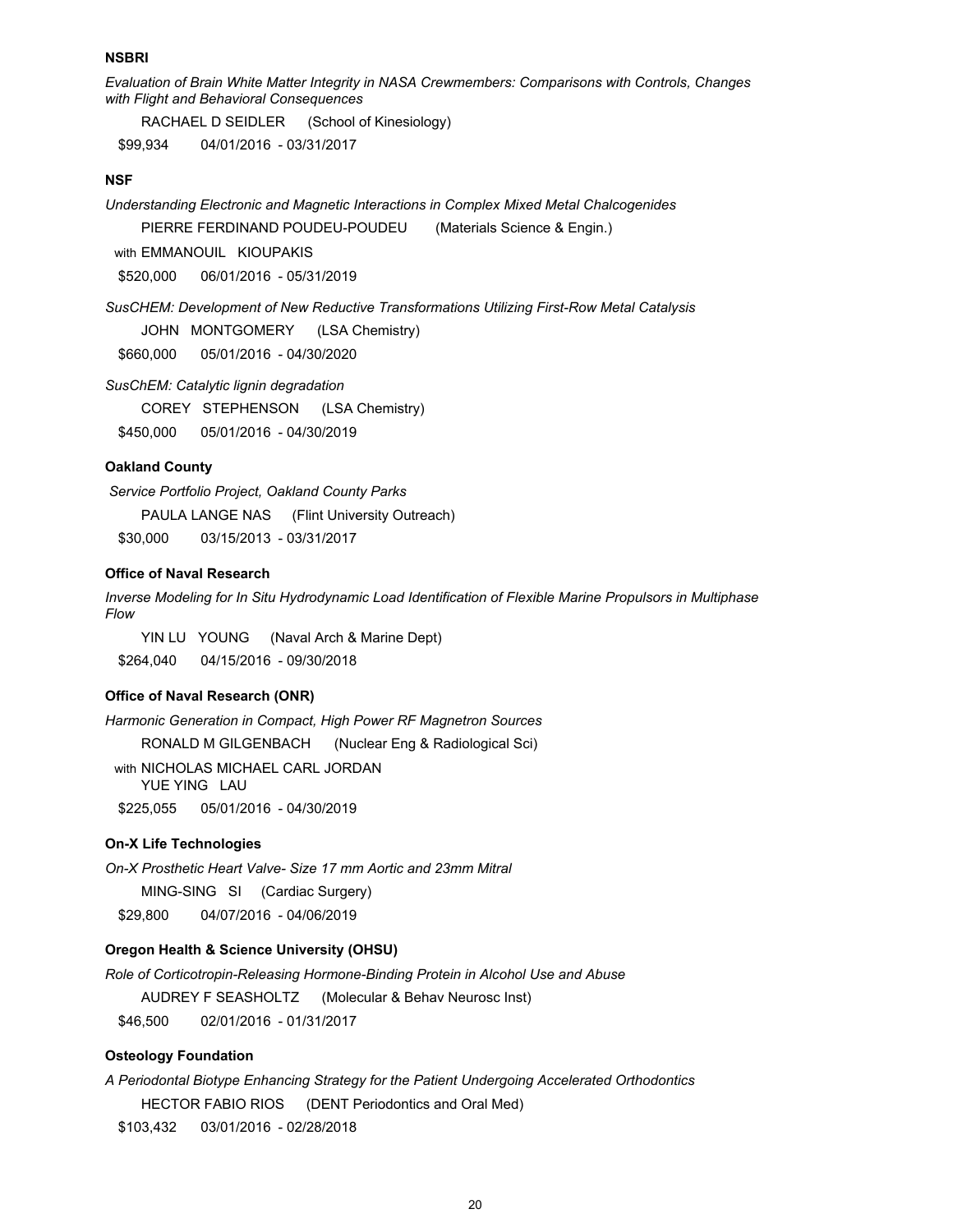#### **NSBRI**

*Evaluation of Brain White Matter Integrity in NASA Crewmembers: Comparisons with Controls, Changes with Flight and Behavioral Consequences*

RACHAEL D SEIDLER (School of Kinesiology)

\$99,934 04/01/2016 - 03/31/2017

#### **NSF**

*Understanding Electronic and Magnetic Interactions in Complex Mixed Metal Chalcogenides*

PIERRE FERDINAND POUDEU-POUDEU (Materials Science & Engin.)

with EMMANOUIL KIOUPAKIS

\$520,000 06/01/2016 - 05/31/2019

*SusCHEM: Development of New Reductive Transformations Utilizing First-Row Metal Catalysis*

JOHN MONTGOMERY (LSA Chemistry)

\$660,000 05/01/2016 - 04/30/2020

*SusChEM: Catalytic lignin degradation*

COREY STEPHENSON (LSA Chemistry)

\$450,000 05/01/2016 - 04/30/2019

#### **Oakland County**

 *Service Portfolio Project, Oakland County Parks*  PAULA LANGE NAS (Flint University Outreach) \$30,000 03/15/2013 - 03/31/2017

# **Office of Naval Research**

*Inverse Modeling for In Situ Hydrodynamic Load Identification of Flexible Marine Propulsors in Multiphase Flow*

YIN LU YOUNG (Naval Arch & Marine Dept) \$264,040 04/15/2016 - 09/30/2018

#### **Office of Naval Research (ONR)**

*Harmonic Generation in Compact, High Power RF Magnetron Sources*

RONALD M GILGENBACH (Nuclear Eng & Radiological Sci)

with NICHOLAS MICHAEL CARL JORDAN YUE YING LAU \$225,055 05/01/2016 - 04/30/2019

#### **On-X Life Technologies**

*On-X Prosthetic Heart Valve- Size 17 mm Aortic and 23mm Mitral* 

MING-SING SI (Cardiac Surgery)

\$29,800 04/07/2016 - 04/06/2019

# **Oregon Health & Science University (OHSU)**

*Role of Corticotropin-Releasing Hormone-Binding Protein in Alcohol Use and Abuse*

AUDREY F SEASHOLTZ (Molecular & Behav Neurosc Inst)

\$46,500 02/01/2016 - 01/31/2017

# **Osteology Foundation**

*A Periodontal Biotype Enhancing Strategy for the Patient Undergoing Accelerated Orthodontics* HECTOR FABIO RIOS (DENT Periodontics and Oral Med)

\$103,432 03/01/2016 - 02/28/2018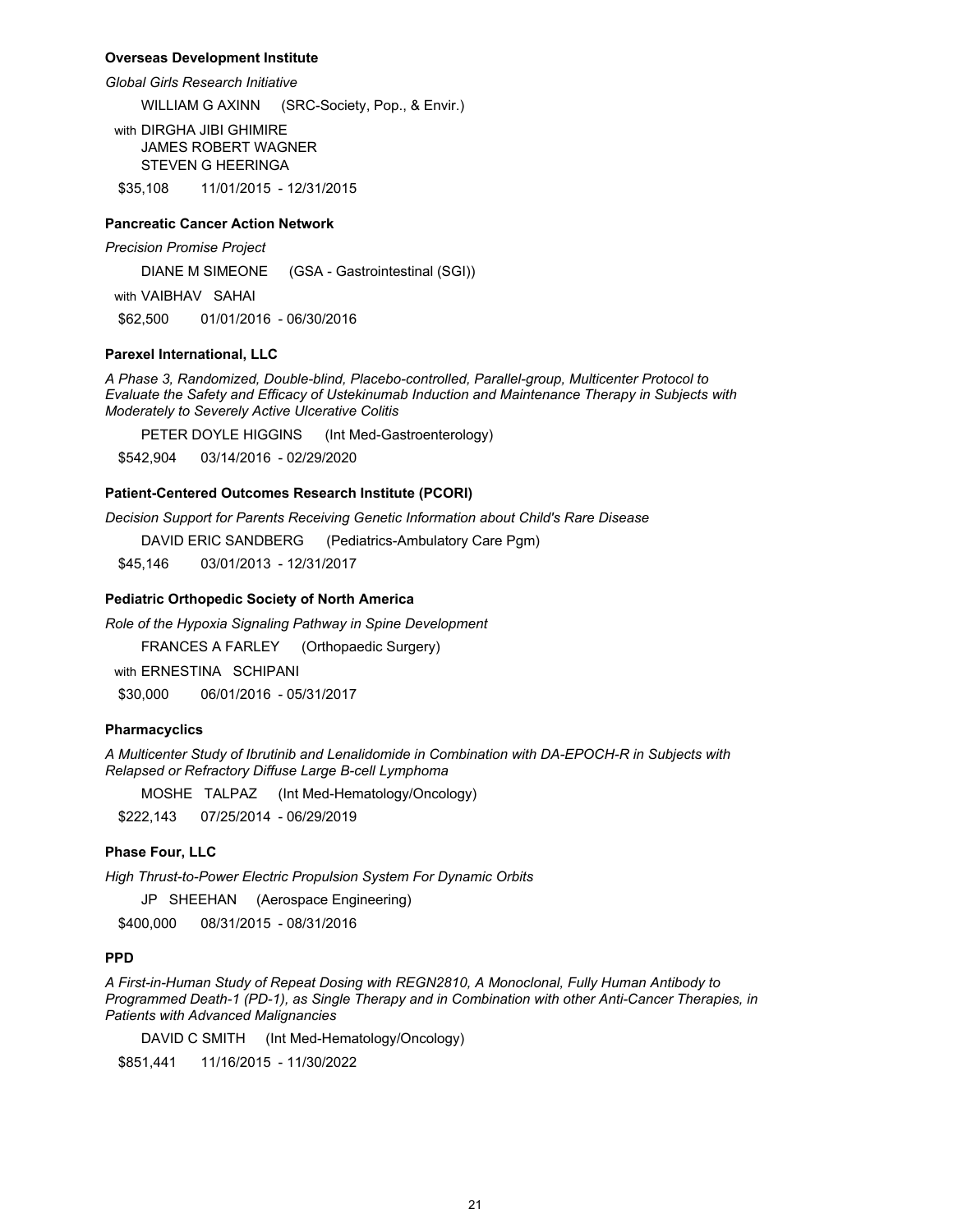#### **Overseas Development Institute**

#### *Global Girls Research Initiative*

WILLIAM G AXINN (SRC-Society, Pop., & Envir.)

with DIRGHA JIBI GHIMIRE JAMES ROBERT WAGNER STEVEN G HEERINGA

\$35,108 11/01/2015 - 12/31/2015

## **Pancreatic Cancer Action Network**

*Precision Promise Project*

DIANE M SIMEONE (GSA - Gastrointestinal (SGI))

with VAIBHAV SAHAI

\$62,500 01/01/2016 - 06/30/2016

## **Parexel International, LLC**

*A Phase 3, Randomized, Double-blind, Placebo-controlled, Parallel-group, Multicenter Protocol to Evaluate the Safety and Efficacy of Ustekinumab Induction and Maintenance Therapy in Subjects with Moderately to Severely Active Ulcerative Colitis*

PETER DOYLE HIGGINS (Int Med-Gastroenterology)

\$542,904 03/14/2016 - 02/29/2020

## **Patient-Centered Outcomes Research Institute (PCORI)**

*Decision Support for Parents Receiving Genetic Information about Child's Rare Disease*

DAVID ERIC SANDBERG (Pediatrics-Ambulatory Care Pgm)

\$45,146 03/01/2013 - 12/31/2017

#### **Pediatric Orthopedic Society of North America**

*Role of the Hypoxia Signaling Pathway in Spine Development*

FRANCES A FARLEY (Orthopaedic Surgery)

with ERNESTINA SCHIPANI

\$30,000 06/01/2016 - 05/31/2017

#### **Pharmacyclics**

*A Multicenter Study of Ibrutinib and Lenalidomide in Combination with DA-EPOCH-R in Subjects with Relapsed or Refractory Diffuse Large B-cell Lymphoma* 

MOSHE TALPAZ (Int Med-Hematology/Oncology)

\$222,143 07/25/2014 - 06/29/2019

## **Phase Four, LLC**

*High Thrust-to-Power Electric Propulsion System For Dynamic Orbits*

JP SHEEHAN (Aerospace Engineering)

\$400,000 08/31/2015 - 08/31/2016

# **PPD**

*A First-in-Human Study of Repeat Dosing with REGN2810, A Monoclonal, Fully Human Antibody to Programmed Death-1 (PD-1), as Single Therapy and in Combination with other Anti-Cancer Therapies, in Patients with Advanced Malignancies*

DAVID C SMITH (Int Med-Hematology/Oncology)

\$851,441 11/16/2015 - 11/30/2022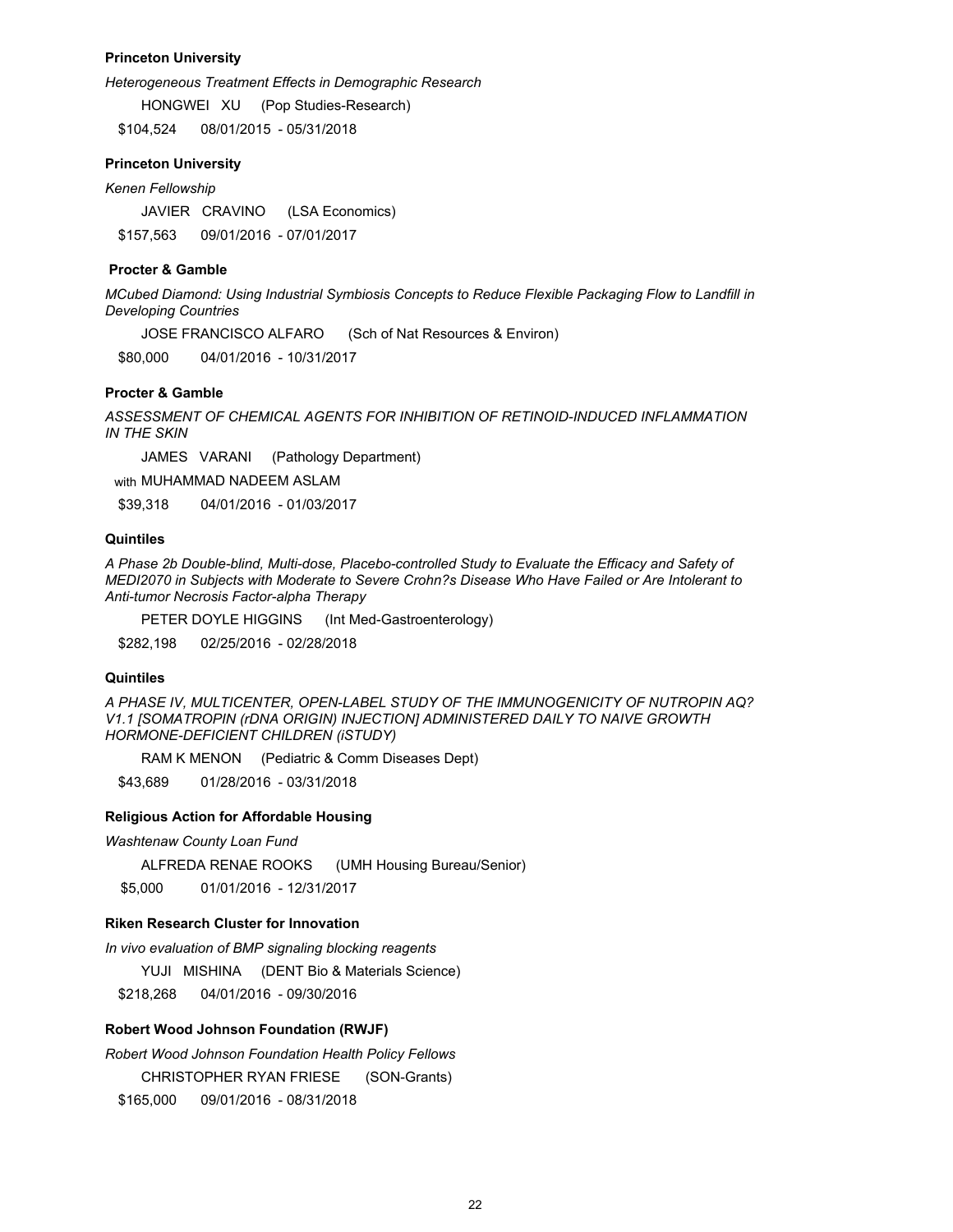## **Princeton University**

*Heterogeneous Treatment Effects in Demographic Research*

HONGWEI XU (Pop Studies-Research)

\$104,524 08/01/2015 - 05/31/2018

#### **Princeton University**

*Kenen Fellowship*

JAVIER CRAVINO (LSA Economics) \$157,563 09/01/2016 - 07/01/2017

## **Procter & Gamble**

*MCubed Diamond: Using Industrial Symbiosis Concepts to Reduce Flexible Packaging Flow to Landfill in Developing Countries*

JOSE FRANCISCO ALFARO (Sch of Nat Resources & Environ)

\$80,000 04/01/2016 - 10/31/2017

## **Procter & Gamble**

*ASSESSMENT OF CHEMICAL AGENTS FOR INHIBITION OF RETINOID-INDUCED INFLAMMATION IN THE SKIN*

JAMES VARANI (Pathology Department)

with MUHAMMAD NADEEM ASLAM

\$39,318 04/01/2016 - 01/03/2017

# **Quintiles**

*A Phase 2b Double-blind, Multi-dose, Placebo-controlled Study to Evaluate the Efficacy and Safety of MEDI2070 in Subjects with Moderate to Severe Crohn?s Disease Who Have Failed or Are Intolerant to Anti-tumor Necrosis Factor-alpha Therapy*

PETER DOYLE HIGGINS (Int Med-Gastroenterology)

\$282,198 02/25/2016 - 02/28/2018

### **Quintiles**

*A PHASE IV, MULTICENTER, OPEN-LABEL STUDY OF THE IMMUNOGENICITY OF NUTROPIN AQ? V1.1 [SOMATROPIN (rDNA ORIGIN) INJECTION] ADMINISTERED DAILY TO NAIVE GROWTH HORMONE-DEFICIENT CHILDREN (iSTUDY)*

RAM K MENON (Pediatric & Comm Diseases Dept)

\$43,689 01/28/2016 - 03/31/2018

#### **Religious Action for Affordable Housing**

*Washtenaw County Loan Fund*

ALFREDA RENAE ROOKS (UMH Housing Bureau/Senior)

\$5,000 01/01/2016 - 12/31/2017

# **Riken Research Cluster for Innovation**

*In vivo evaluation of BMP signaling blocking reagents*

YUJI MISHINA (DENT Bio & Materials Science)

\$218,268 04/01/2016 - 09/30/2016

#### **Robert Wood Johnson Foundation (RWJF)**

*Robert Wood Johnson Foundation Health Policy Fellows*

CHRISTOPHER RYAN FRIESE (SON-Grants)

\$165,000 09/01/2016 - 08/31/2018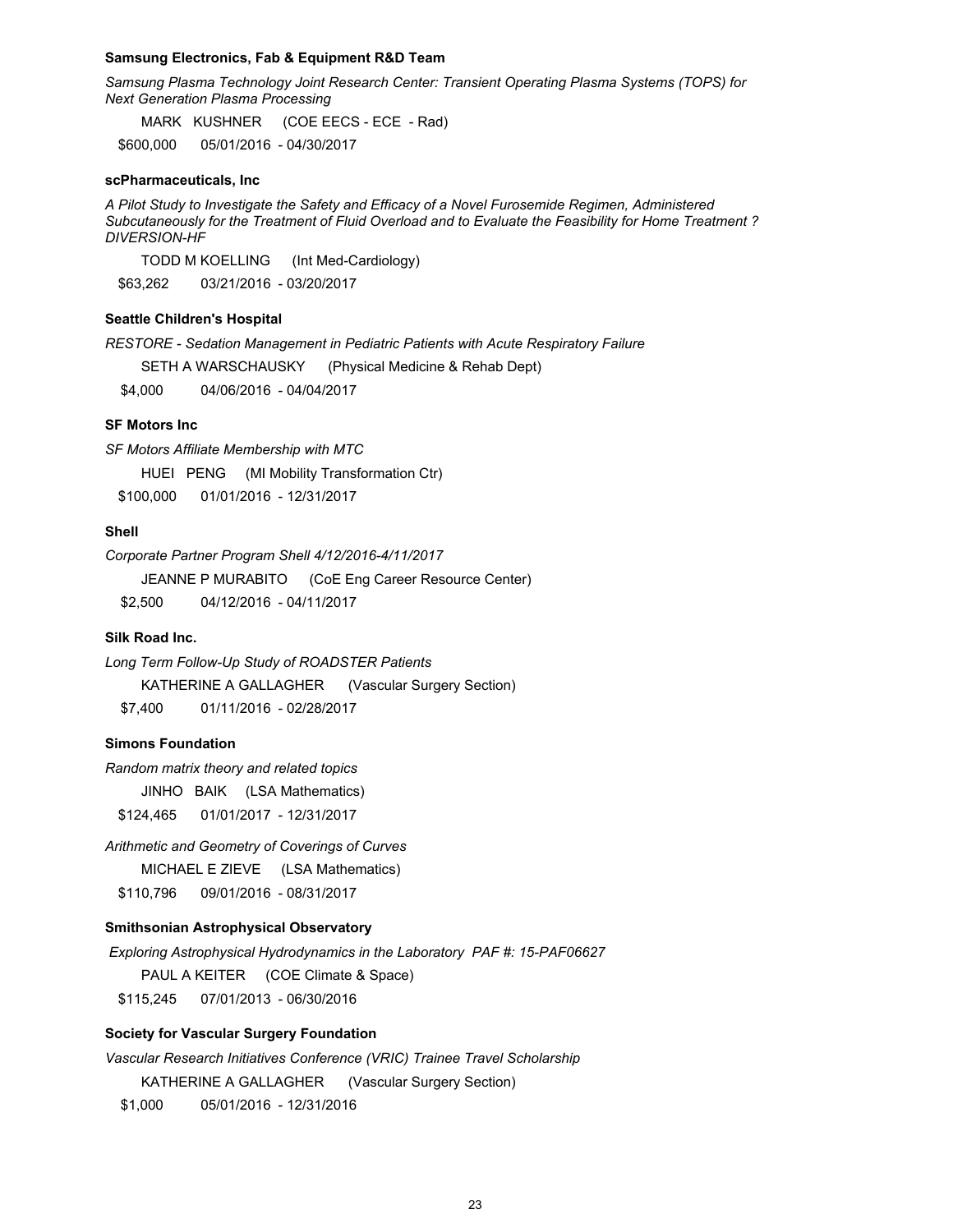#### **Samsung Electronics, Fab & Equipment R&D Team**

*Samsung Plasma Technology Joint Research Center: Transient Operating Plasma Systems (TOPS) for Next Generation Plasma Processing*

MARK KUSHNER (COE EECS - ECE - Rad)

\$600,000 05/01/2016 - 04/30/2017

#### **scPharmaceuticals, Inc**

*A Pilot Study to Investigate the Safety and Efficacy of a Novel Furosemide Regimen, Administered Subcutaneously for the Treatment of Fluid Overload and to Evaluate the Feasibility for Home Treatment ? DIVERSION-HF*

TODD M KOELLING (Int Med-Cardiology)

\$63,262 03/21/2016 - 03/20/2017

## **Seattle Children's Hospital**

*RESTORE - Sedation Management in Pediatric Patients with Acute Respiratory Failure*

SETH A WARSCHAUSKY (Physical Medicine & Rehab Dept)

\$4,000 04/06/2016 - 04/04/2017

## **SF Motors Inc**

*SF Motors Affiliate Membership with MTC* 

HUEI PENG (MI Mobility Transformation Ctr)

\$100,000 01/01/2016 - 12/31/2017

# **Shell**

*Corporate Partner Program Shell 4/12/2016-4/11/2017*

JEANNE P MURABITO (CoE Eng Career Resource Center)

\$2,500 04/12/2016 - 04/11/2017

# **Silk Road Inc.**

*Long Term Follow-Up Study of ROADSTER Patients*  KATHERINE A GALLAGHER (Vascular Surgery Section)

\$7,400 01/11/2016 - 02/28/2017

# **Simons Foundation**

*Random matrix theory and related topics*

JINHO BAIK (LSA Mathematics)

\$124,465 01/01/2017 - 12/31/2017

#### *Arithmetic and Geometry of Coverings of Curves*

MICHAEL E ZIEVE (LSA Mathematics)

\$110,796 09/01/2016 - 08/31/2017

#### **Smithsonian Astrophysical Observatory**

 *Exploring Astrophysical Hydrodynamics in the Laboratory PAF #: 15-PAF06627* 

PAUL A KEITER (COE Climate & Space)

\$115,245 07/01/2013 - 06/30/2016

## **Society for Vascular Surgery Foundation**

*Vascular Research Initiatives Conference (VRIC) Trainee Travel Scholarship*  KATHERINE A GALLAGHER (Vascular Surgery Section)

\$1,000 05/01/2016 - 12/31/2016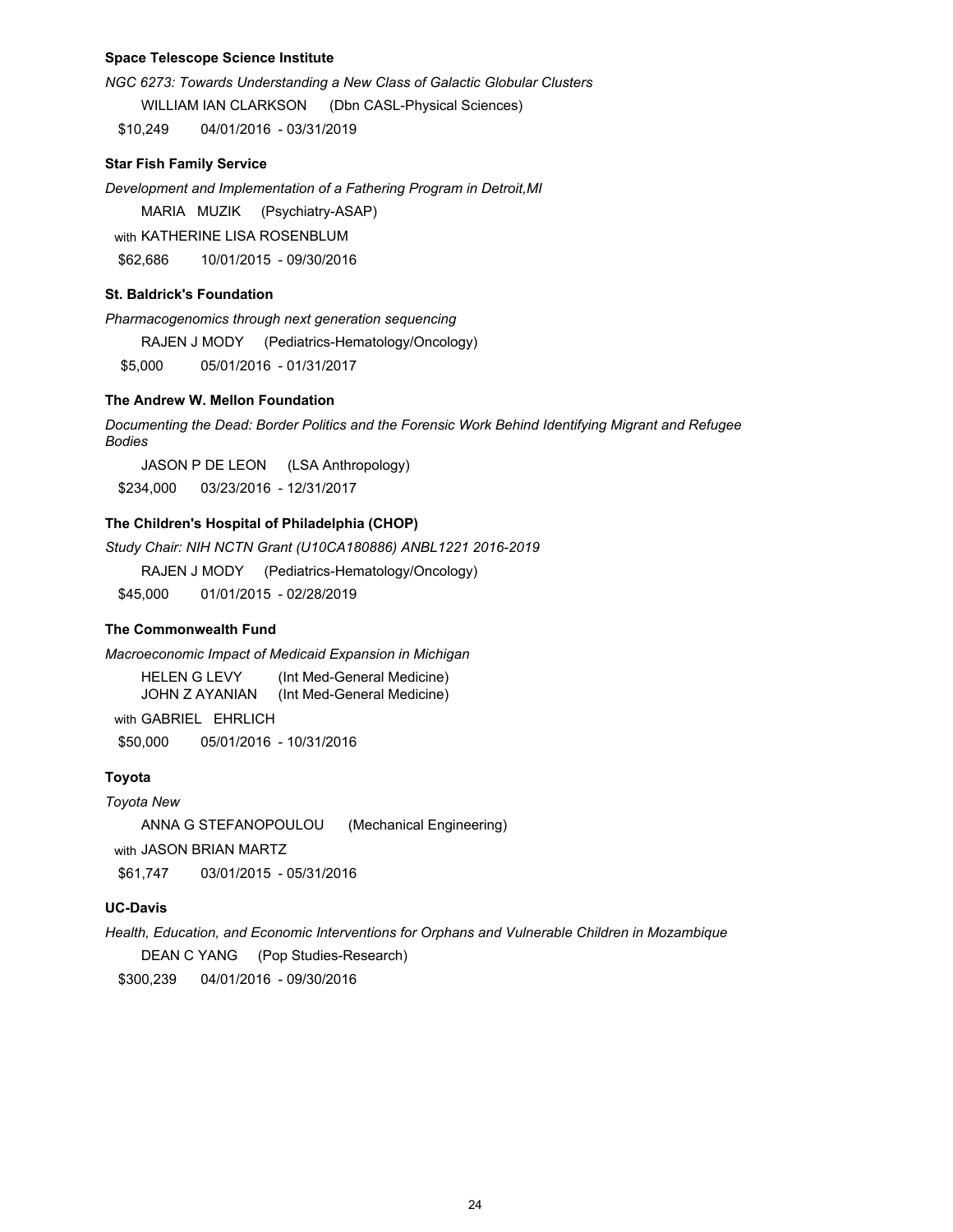# **Space Telescope Science Institute**

*NGC 6273: Towards Understanding a New Class of Galactic Globular Clusters* WILLIAM IAN CLARKSON (Dbn CASL-Physical Sciences)

\$10,249 04/01/2016 - 03/31/2019

## **Star Fish Family Service**

*Development and Implementation of a Fathering Program in Detroit,MI*

MARIA MUZIK (Psychiatry-ASAP)

with KATHERINE LISA ROSENBLUM

\$62,686 10/01/2015 - 09/30/2016

# **St. Baldrick's Foundation**

*Pharmacogenomics through next generation sequencing*

RAJEN J MODY (Pediatrics-Hematology/Oncology)

\$5,000 05/01/2016 - 01/31/2017

# **The Andrew W. Mellon Foundation**

*Documenting the Dead: Border Politics and the Forensic Work Behind Identifying Migrant and Refugee Bodies* 

JASON P DE LEON (LSA Anthropology)

\$234,000 03/23/2016 - 12/31/2017

# **The Children's Hospital of Philadelphia (CHOP)**

*Study Chair: NIH NCTN Grant (U10CA180886) ANBL1221 2016-2019*

RAJEN J MODY (Pediatrics-Hematology/Oncology)

\$45,000 01/01/2015 - 02/28/2019

# **The Commonwealth Fund**

*Macroeconomic Impact of Medicaid Expansion in Michigan*

HELEN G LEVY (Int Med-General Medicine) JOHN Z AYANIAN (Int Med-General Medicine)

with GABRIEL EHRLICH \$50,000 05/01/2016 - 10/31/2016

# **Toyota**

*Toyota New* ANNA G STEFANOPOULOU (Mechanical Engineering) with JASON BRIAN MARTZ \$61,747 03/01/2015 - 05/31/2016

# **UC-Davis**

*Health, Education, and Economic Interventions for Orphans and Vulnerable Children in Mozambique* DEAN C YANG (Pop Studies-Research) \$300,239 04/01/2016 - 09/30/2016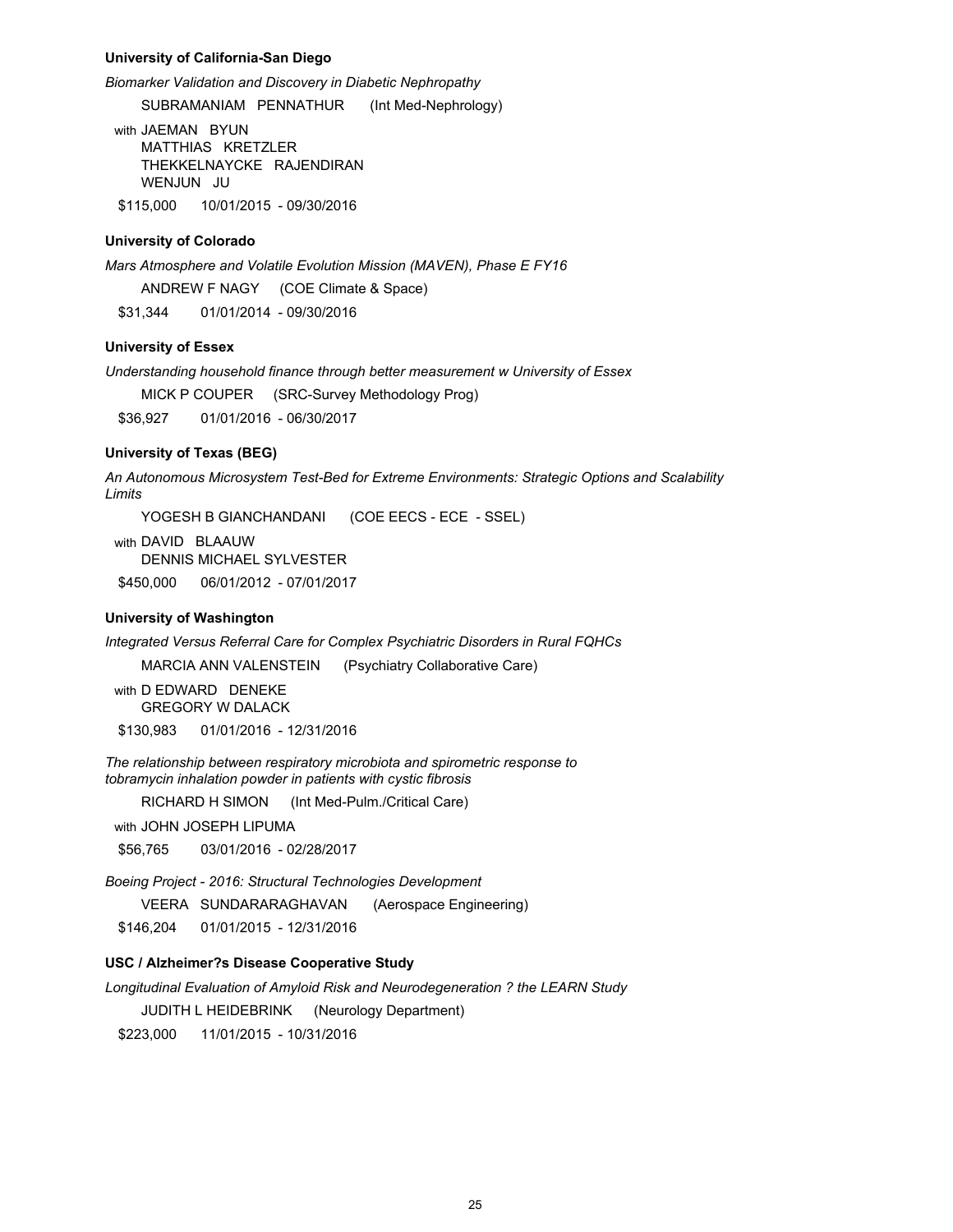#### **University of California-San Diego**

*Biomarker Validation and Discovery in Diabetic Nephropathy*

SUBRAMANIAM PENNATHUR (Int Med-Nephrology)

with JAEMAN BYUN MATTHIAS KRETZLER THEKKELNAYCKE RAJENDIRAN WENJUN JU

\$115,000 10/01/2015 - 09/30/2016

## **University of Colorado**

*Mars Atmosphere and Volatile Evolution Mission (MAVEN), Phase E FY16*

ANDREW F NAGY (COE Climate & Space)

\$31,344 01/01/2014 - 09/30/2016

# **University of Essex**

*Understanding household finance through better measurement w University of Essex*

MICK P COUPER (SRC-Survey Methodology Prog)

\$36,927 01/01/2016 - 06/30/2017

#### **University of Texas (BEG)**

*An Autonomous Microsystem Test-Bed for Extreme Environments: Strategic Options and Scalability Limits*

YOGESH B GIANCHANDANI (COE EECS - ECE - SSEL)

with DAVID BLAAUW DENNIS MICHAEL SYLVESTER \$450,000 06/01/2012 - 07/01/2017

#### **University of Washington**

*Integrated Versus Referral Care for Complex Psychiatric Disorders in Rural FQHCs*

MARCIA ANN VALENSTEIN (Psychiatry Collaborative Care)

with **D EDWARD** DENEKE GREGORY W DALACK \$130,983 01/01/2016 - 12/31/2016

*The relationship between respiratory microbiota and spirometric response to*

*tobramycin inhalation powder in patients with cystic fibrosis*

RICHARD H SIMON (Int Med-Pulm./Critical Care)

with JOHN JOSEPH LIPUMA

\$56,765 03/01/2016 - 02/28/2017

*Boeing Project - 2016: Structural Technologies Development*

VEERA SUNDARARAGHAVAN (Aerospace Engineering)

\$146,204 01/01/2015 - 12/31/2016

# **USC / Alzheimer?s Disease Cooperative Study**

*Longitudinal Evaluation of Amyloid Risk and Neurodegeneration ? the LEARN Study*

JUDITH L HEIDEBRINK (Neurology Department)

\$223,000 11/01/2015 - 10/31/2016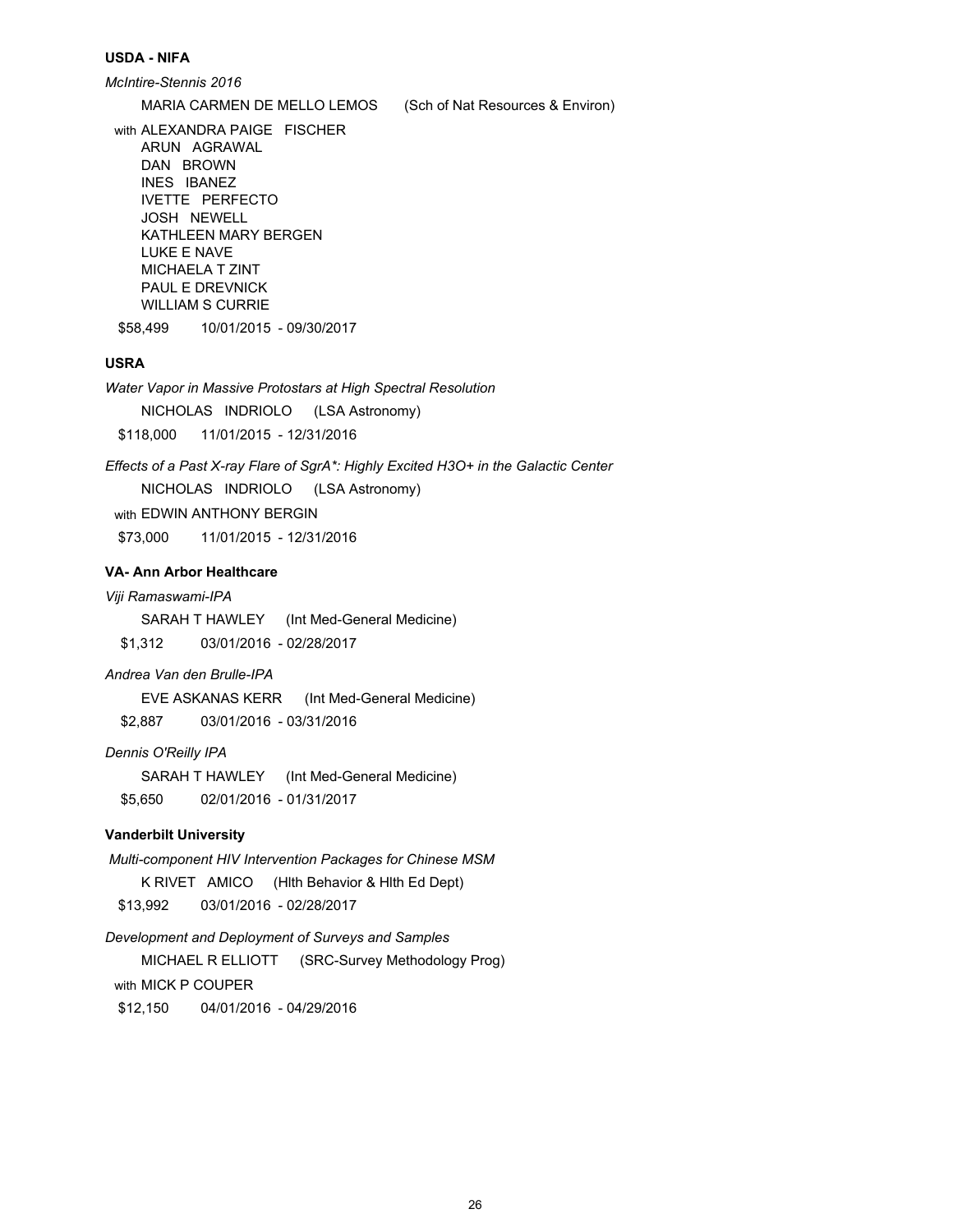#### **USDA - NIFA**

*McIntire-Stennis 2016*

MARIA CARMEN DE MELLO LEMOS (Sch of Nat Resources & Environ)

with ALEXANDRA PAIGE FISCHER ARUN AGRAWAL DAN BROWN INES IBANEZ IVETTE PERFECTO JOSH NEWELL KATHI FFN MARY BERGEN LUKE E NAVE MICHAELA T ZINT PAUL E DREVNICK WILLIAM S CURRIE

\$58,499 10/01/2015 - 09/30/2017

# **USRA**

*Water Vapor in Massive Protostars at High Spectral Resolution* NICHOLAS INDRIOLO (LSA Astronomy) \$118,000 11/01/2015 - 12/31/2016

*Effects of a Past X-ray Flare of SgrA\*: Highly Excited H3O+ in the Galactic Center* NICHOLAS INDRIOLO (LSA Astronomy) with EDWIN ANTHONY BERGIN \$73,000 11/01/2015 - 12/31/2016

# **VA- Ann Arbor Healthcare**

## *Viji Ramaswami-IPA*

SARAH T HAWLEY (Int Med-General Medicine) \$1,312 03/01/2016 - 02/28/2017

## *Andrea Van den Brulle-IPA*

EVE ASKANAS KERR (Int Med-General Medicine) \$2,887 03/01/2016 - 03/31/2016

# *Dennis O'Reilly IPA*

SARAH T HAWLEY (Int Med-General Medicine) \$5,650 02/01/2016 - 01/31/2017

# **Vanderbilt University**

 *Multi-component HIV Intervention Packages for Chinese MSM*  K RIVET AMICO (Hlth Behavior & Hlth Ed Dept) \$13,992 03/01/2016 - 02/28/2017

*Development and Deployment of Surveys and Samples* MICHAEL R ELLIOTT (SRC-Survey Methodology Prog) with MICK P COUPER \$12,150 04/01/2016 - 04/29/2016